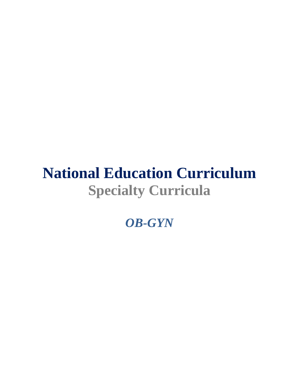# **National Education Curriculum Specialty Curricula**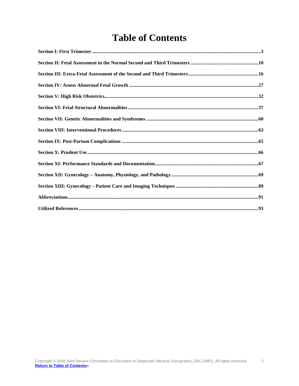# **Table of Contents**

<span id="page-1-1"></span><span id="page-1-0"></span>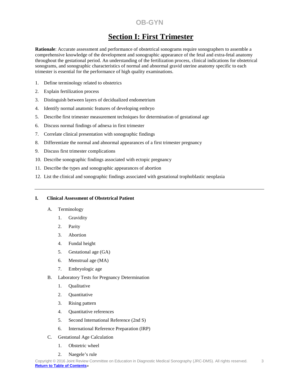# **Section I: First Trimester**

**Rationale**: Accurate assessment and performance of obstetrical sonograms require sonographers to assemble a comprehensive knowledge of the development and sonographic appearance of the fetal and extra-fetal anatomy throughout the gestational period. An understanding of the fertilization process, clinical indications for obstetrical sonograms, and sonographic characteristics of normal and abnormal gravid uterine anatomy specific to each trimester is essential for the performance of high quality examinations.

- 1. Define terminology related to obstetrics
- 2. Explain fertilization process
- 3. Distinguish between layers of decidualized endometrium
- 4. Identify normal anatomic features of developing embryo
- 5. Describe first trimester measurement techniques for determination of gestational age
- 6. Discuss normal findings of adnexa in first trimester
- 7. Correlate clinical presentation with sonographic findings
- 8. Differentiate the normal and abnormal appearances of a first trimester pregnancy
- 9. Discuss first trimester complications
- 10. Describe sonographic findings associated with ectopic pregnancy
- 11. Describe the types and sonographic appearances of abortion
- 12. List the clinical and sonographic findings associated with gestational trophoblastic neoplasia

## **I. Clinical Assessment of Obstetrical Patient**

- A. Terminology
	- 1. Gravidity
	- 2. Parity
	- 3. Abortion
	- 4. Fundal height
	- 5. Gestational age (GA)
	- 6. Menstrual age (MA)
	- 7. Embryologic age
- B. Laboratory Tests for Pregnancy Determination
	- 1. Qualitative
	- 2. Quantitative
	- 3. Rising pattern
	- 4. Quantitative references
	- 5. Second International Reference (2nd S)
	- 6. International Reference Preparation (IRP)
- C. Gestational Age Calculation
	- 1. Obstetric wheel
	- 2. Naegele's rule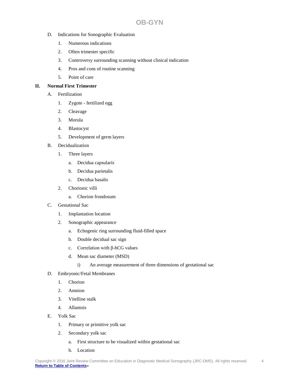- D. Indications for Sonographic Evaluation
	- 1. Numerous indications
	- 2. Often trimester specific
	- 3. Controversy surrounding scanning without clinical indication
	- 4. Pros and cons of routine scanning
	- 5. Point of care

## **II. Normal First Trimester**

- A. Fertilization
	- 1. Zygote fertilized egg
	- 2. Cleavage
	- 3. Morula
	- 4. Blastocyst
	- 5. Development of germ layers
- B. Decidualization
	- 1. Three layers
		- a. Decidua capsularis
		- b. Decidua parietalis
		- c. Decidua basalis
	- 2. Chorionic villi
		- a. Chorion frondosum
- C. Gestational Sac
	- 1. Implantation location
	- 2. Sonographic appearance
		- a. Echogenic ring surrounding fluid-filled space
		- b. Double decidual sac sign
		- c. Correlation with β-hCG values
		- d. Mean sac diameter (MSD)
			- i) An average measurement of three dimensions of gestational sac
- D. Embryonic/Fetal Membranes
	- 1. Chorion
	- 2. Amnion
	- 3. Vitelline stalk
	- 4. Allantois
- E. Yolk Sac
	- 1. Primary or primitive yolk sac
	- 2. Secondary yolk sac
		- a. First structure to be visualized within gestational sac
		- b. Location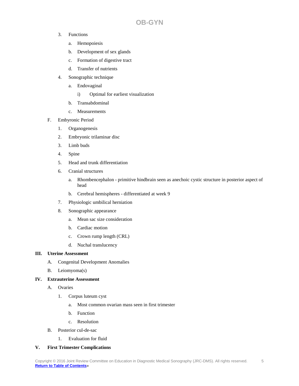- 3. Functions
	- a. Hemopoiesis
	- b. Development of sex glands
	- c. Formation of digestive tract
	- d. Transfer of nutrients
- 4. Sonographic technique
	- a. Endovaginal
		- i) Optimal for earliest visualization
	- b. Transabdominal
	- c. Measurements
- F. Embyronic Period
	- 1. Organogenesis
	- 2. Embryonic trilaminar disc
	- 3. Limb buds
	- 4. Spine
	- 5. Head and trunk differentiation
	- 6. Cranial structures
		- a. Rhombencephalon primitive hindbrain seen as anechoic cystic structure in posterior aspect of head
		- b. Cerebral hemispheres differentiated at week 9
	- 7. Physiologic umbilical herniation
	- 8. Sonographic appearance
		- a. Mean sac size consideration
		- b. Cardiac motion
		- c. Crown rump length (CRL)
		- d. Nuchal translucency

## **III. Uterine Assessment**

- A. Congenital Development Anomalies
- B. Leiomyoma(s)

## **IV. Extrauterine Assessment**

- A. Ovaries
	- 1. Corpus luteum cyst
		- a. Most common ovarian mass seen in first trimester
		- b. Function
		- c. Resolution
- B. Posterior cul-de-sac
	- 1. Evaluation for fluid

## **V. First Trimester Complications**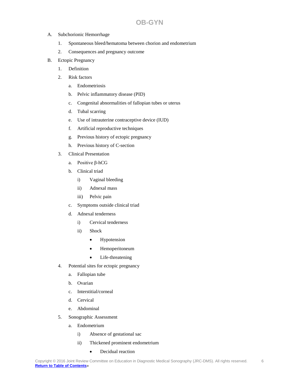#### A. Subchorionic Hemorrhage

- 1. Spontaneous bleed/hematoma between chorion and endometrium
- 2. Consequences and pregnancy outcome

#### B. Ectopic Pregnancy

- 1. Definition
- 2. Risk factors
	- a. Endometriosis
	- b. Pelvic inflammatory disease (PID)
	- c. Congenital abnormalities of fallopian tubes or uterus
	- d. Tubal scarring
	- e. Use of intrauterine contraceptive device (IUD)
	- f. Artificial reproductive techniques
	- g. Previous history of ectopic pregnancy
	- h. Previous history of C-section
- 3. Clinical Presentation
	- a. Positive β-hCG
	- b. Clinical triad
		- i) Vaginal bleeding
		- ii) Adnexal mass
		- iii) Pelvic pain
	- c. Symptoms outside clinical triad
	- d. Adnexal tenderness
		- i) Cervical tenderness
		- ii) Shock
			- Hypotension
			- Hemoperitoneum
			- Life-threatening
- 4. Potential sites for ectopic pregnancy
	- a. Fallopian tube
	- b. Ovarian
	- c. Interstitial/corneal
	- d. Cervical
	- e. Abdominal
- 5. Sonographic Assessment
	- a. Endometrium
		- i) Absence of gestational sac
		- ii) Thickened prominent endometrium
			- Decidual reaction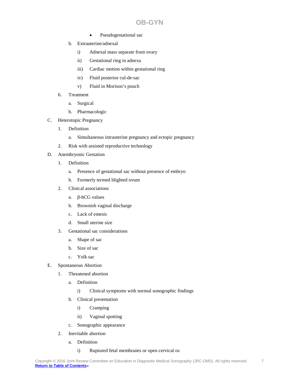- Pseudogestational sac
- b. Extrauterine/adnexal
	- i) Adnexal mass separate from ovary
	- ii) Gestational ring in adnexa
	- iii) Cardiac motion within gestational ring
	- iv) Fluid posterior cul-de-sac
	- v) Fluid in Morison's pouch
- 6. Treatment
	- a. Surgical
	- b. Pharmacologic
- C. Heterotopic Pregnancy
	- 1. Definition
		- a. Simultaneous intrauterine pregnancy and ectopic pregnancy
	- 2. Risk with assisted reproductive technology
- D. Anembryonic Gestation
	- 1. Definition
		- a. Presence of gestational sac without presence of embryo
		- b. Formerly termed blighted ovum
	- 2. Clinical associations
		- a. β-hCG values
		- b. Brownish vaginal discharge
		- c. Lack of emesis
		- d. Small uterine size
	- 3. Gestational sac considerations
		- a. Shape of sac
		- b. Size of sac
		- c. Yolk sac
- E. Spontaneous Abortion
	- 1. Threatened abortion
		- a. Definition
			- i) Clinical symptoms with normal sonographic findings
		- b. Clinical presentation
			- i) Cramping
			- ii) Vaginal spotting
		- c. Sonographic appearance
	- 2. Inevitable abortion
		- a. Definition

## i) Ruptured fetal membranes or open cervical os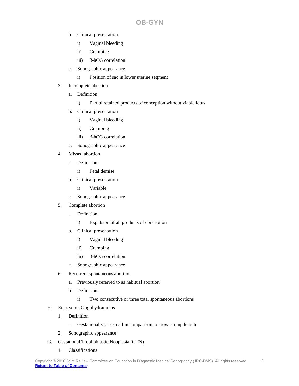- b. Clinical presentation
	- i) Vaginal bleeding
	- ii) Cramping
	- iii) β-hCG correlation
- c. Sonographic appearance
	- i) Position of sac in lower uterine segment
- 3. Incomplete abortion
	- a. Definition
		- i) Partial retained products of conception without viable fetus
	- b. Clinical presentation
		- i) Vaginal bleeding
		- ii) Cramping
		- iii) β-hCG correlation
	- c. Sonographic appearance
- 4. Missed abortion
	- a. Definition
		- i) Fetal demise
	- b. Clinical presentation
		- i) Variable
	- c. Sonographic appearance
- 5. Complete abortion
	- a. Definition
		- i) Expulsion of all products of conception
	- b. Clinical presentation
		- i) Vaginal bleeding
		- ii) Cramping
		- iii) β-hCG correlation
	- c. Sonographic appearance
- 6. Recurrent spontaneous abortion
	- a. Previously referred to as habitual abortion
	- b. Definition
		- i) Two consecutive or three total spontaneous abortions
- F. Embryonic Oligohydramnios
	- 1. Definition
		- a. Gestational sac is small in comparison to crown-rump length
	- 2. Sonographic appearance
- G. Gestational Trophoblastic Neoplasia (GTN)
	- 1. Classifications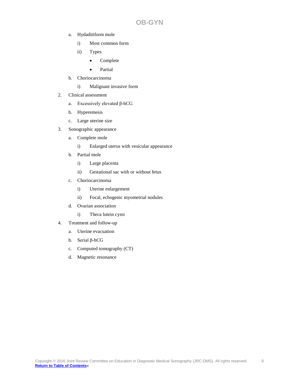- a. Hydaditiform mole
	- i) Most common form
	- ii) Types
		- Complete
		- Partial
- b. Choriocarcinoma
	- i) Malignant invasive form
- 2. Clinical assessment
	- a. Excessively elevated β-hCG
	- b. Hyperemesis
	- c. Large uterine size
- 3. Sonographic appearance
	- a. Complete mole
		- i) Enlarged uterus with vesicular appearance
	- b. Partial mole
		- i) Large placenta
		- ii) Gestational sac with or without fetus
	- c. Choriocarcinoma
		- i) Uterine enlargement
		- ii) Focal, echogenic myometrial nodules
	- d. Ovarian association
		- i) Theca lutein cysts
- 4. Treatment and follow-up
	- a. Uterine evacuation
	- b. Serial β-hCG
	- c. Computed tomography (CT)
	- d. Magnetic resonance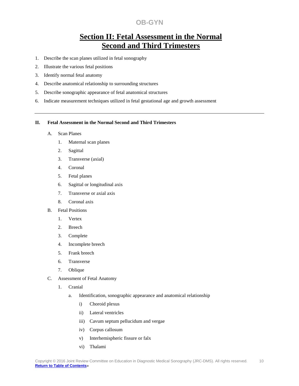# **Section II: Fetal Assessment in the Normal Second and Third Trimesters**

- <span id="page-9-0"></span>1. Describe the scan planes utilized in fetal sonography
- 2. Illustrate the various fetal positions
- 3. Identify normal fetal anatomy
- 4. Describe anatomical relationship to surrounding structures
- 5. Describe sonographic appearance of fetal anatomical structures
- 6. Indicate measurement techniques utilized in fetal gestational age and growth assessment

#### **II. Fetal Assessment in the Normal Second and Third Trimesters**

#### A. Scan Planes

- 1. Maternal scan planes
- 2. Sagittal
- 3. Transverse (axial)
- 4. Coronal
- 5. Fetal planes
- 6. Sagittal or longitudinal axis
- 7. Transverse or axial axis
- 8. Coronal axis
- B. Fetal Positions
	- 1. Vertex
	- 2. Breech
	- 3. Complete
	- 4. Incomplete breech
	- 5. Frank breech
	- 6. Transverse
	- 7. Oblique
- C. Assessment of Fetal Anatomy
	- 1. Cranial
		- a. Identification, sonographic appearance and anatomical relationship
			- i) Choroid plexus
			- ii) Lateral ventricles
			- iii) Cavum septum pellucidum and vergae
			- iv) Corpus callosum
			- v) Interhemispheric fissure or falx
			- vi) Thalami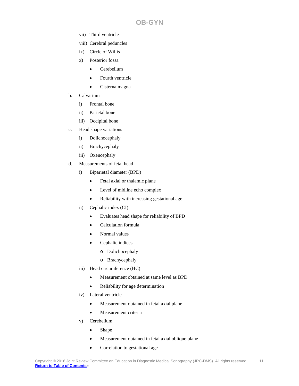- vii) Third ventricle
- viii) Cerebral peduncles
- ix) Circle of Willis
- x) Posterior fossa
	- Cerebellum
	- Fourth ventricle
	- Cisterna magna
- b. Calvarium
	- i) Frontal bone
	- ii) Parietal bone
	- iii) Occipital bone
- c. Head shape variations
	- i) Dolichocephaly
	- ii) Brachycephaly
	- iii) Oxencephaly
- d. Measurements of fetal head
	- i) Biparietal diameter (BPD)
		- Fetal axial or thalamic plane
		- Level of midline echo complex
		- Reliability with increasing gestational age
	- ii) Cephalic index (CI)
		- Evaluates head shape for reliability of BPD
		- Calculation formula
		- Normal values
		- Cephalic indices
			- o Dolichocephaly
			- o Brachycephaly
	- iii) Head circumference (HC)
		- Measurement obtained at same level as BPD
		- Reliability for age determination
	- iv) Lateral ventricle
		- Measurement obtained in fetal axial plane
		- Measurement criteria
	- v) Cerebellum
		- Shape
		- Measurement obtained in fetal axial oblique plane
		- Correlation to gestational age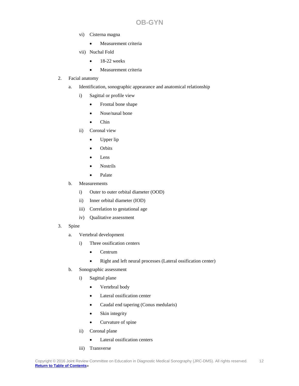- vi) Cisterna magna
	- Measurement criteria
- vii) Nuchal Fold
	- $\bullet$  18-22 weeks
	- Measurement criteria

## 2. Facial anatomy

- a. Identification, sonographic appearance and anatomical relationship
	- i) Sagittal or profile view
		- Frontal bone shape
		- Nose/nasal bone
		- Chin
	- ii) Coronal view
		- Upper lip
		- Orbits
		- Lens
		- Nostrils
		- Palate
- b. Measurements
	- i) Outer to outer orbital diameter (OOD)
	- ii) Inner orbital diameter (IOD)
	- iii) Correlation to gestational age
	- iv) Qualitative assessment
- 3. Spine
	- a. Vertebral development
		- i) Three ossification centers
			- Centrum
			- Right and left neural processes (Lateral ossification center)
	- b. Sonographic assessment
		- i) Sagittal plane
			- Vertebral body
			- Lateral ossification center
			- Caudal end tapering (Conus medularis)
			- Skin integrity
			- Curvature of spine
		- ii) Coronal plane
			- Lateral ossification centers
		- iii) Transverse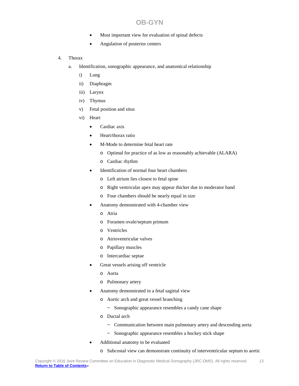- Most important view for evaluation of spinal defects
- Angulation of posterior centers
- 4. Thorax
	- a. Identification, sonographic appearance, and anatomical relationship
		- i) Lung
		- ii) Diaphragm
		- iii) Larynx
		- iv) Thymus
		- v) Fetal position and situs
		- vi) Heart
			- Cardiac axis
			- Heart/thorax ratio
			- M-Mode to determine fetal heart rate
				- o Optimal for practice of as low as reasonably achievable (ALARA)
				- o Cardiac rhythm
			- Identification of normal four heart chambers
				- o Left atrium lies closest to fetal spine
				- o Right ventricular apex may appear thicker due to moderator band
				- o Four chambers should be nearly equal in size
			- Anatomy demonstrated with 4-chamber view
				- o Atria
				- o Foramen ovale/septum primum
				- o Ventricles
				- o Atrioventricular valves
				- o Papillary muscles
				- o Intercardiac septae
			- Great vessels arising off ventricle
				- o Aorta
				- o Pulmonary artery
			- Anatomy demonstrated in a fetal sagittal view
				- o Aortic arch and great vessel branching
					- ~ Sonographic appearance resembles a candy cane shape
				- o Ductal arch
					- ~ Communication between main pulmonary artery and descending aorta
					- ~ Sonographic appearance resembles a hockey stick shape
			- Additional anatomy to be evaluated
				- o Subcostal view can demonstrate continuity of interventricular septum to aortic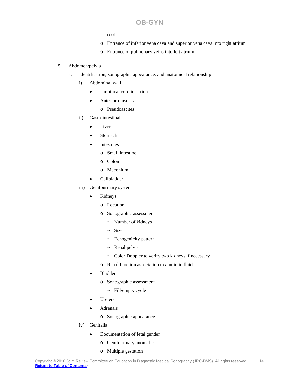root

- o Entrance of inferior vena cava and superior vena cava into right atrium
- o Entrance of pulmonary veins into left atrium

## 5. Abdomen/pelvis

- a. Identification, sonographic appearance, and anatomical relationship
	- i) Abdominal wall
		- Umbilical cord insertion
		- Anterior muscles
			- o Pseudoascites
	- ii) Gastrointestinal
		- Liver
		- Stomach
		- **Intestines** 
			- o Small intestine
			- o Colon
			- o Meconium
		- Gallbladder
	- iii) Genitourinary system
		- **Kidneys** 
			- o Location
			- o Sonographic assessment
				- ~ Number of kidneys
				- $\sim$  Size
				- ~ Echogenicity pattern
				- $\sim$  Renal pelvis
				- ~ Color Doppler to verify two kidneys if necessary
			- o Renal function association to amniotic fluid
		- **Bladder** 
			- o Sonographic assessment
				- ~ Fill/empty cycle
		- **Ureters**
		- **Adrenals** 
			- o Sonographic appearance
	- iv) Genitalia
		- Documentation of fetal gender
			- o Genitourinary anomalies
			- o Multiple gestation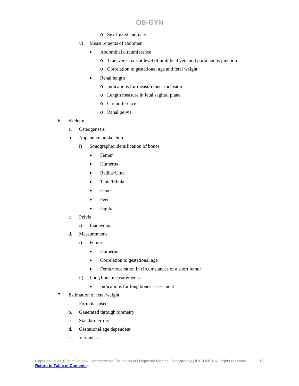- o Sex-linked anomaly
- v) Measurements of abdomen
	- Abdominal circumference
		- o Transverse axis at level of umbilical vein and portal sinus junction
		- o Correlation to gestational age and fetal weight
	- Renal length
		- o Indications for measurement inclusion
		- o Length measure in fetal sagittal plane
		- o Circumference
		- o Renal pelvis
- 6. Skeleton
	- a. Osteogenesis
	- b. Appendicular skeleton
		- i) Sonographic identification of bones
			- Femur
			- Humerus
			- Radius/Ulna
			- Tibia/Fibula
			- Hands
			- Feet
			- Digits
	- c. Pelvis
		- i) Iliac wings
	- d. Measurements
		- i) Femur
			- Humerus
			- Correlation to gestational age
			- Femur/foot ration in circumstances of a short femur
		- ii) Long bone measurements
			- Indications for long bones assessment
- 7. Estimation of fetal weight
	- a. Formulas used
	- b. Generated through biometry
	- c. Standard errors
	- d. Gestational age dependent
	- e. Variances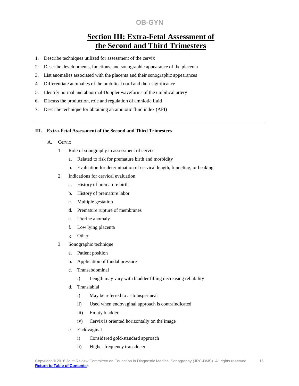# **Section III: Extra-Fetal Assessment of the Second and Third Trimesters**

- <span id="page-15-0"></span>1. Describe techniques utilized for assessment of the cervix
- 2. Describe developments, functions, and sonographic appearance of the placenta
- 3. List anomalies associated with the placenta and their sonographic appearances
- 4. Differentiate anomalies of the umbilical cord and their significance
- 5. Identify normal and abnormal Doppler waveforms of the umbilical artery
- 6. Discuss the production, role and regulation of amniotic fluid
- 7. Describe technique for obtaining an amniotic fluid index (AFI)

#### **III. Extra-Fetal Assessment of the Second and Third Trimesters**

- A. Cervix
	- 1. Role of sonography in assessment of cervix
		- a. Related to risk for premature birth and morbidity
		- b. Evaluation for determination of cervical length, funneling, or beaking
	- 2. Indications for cervical evaluation
		- a. History of premature birth
		- b. History of premature labor
		- c. Multiple gestation
		- d. Premature rupture of membranes
		- e. Uterine anomaly
		- f. Low lying placenta
		- g. Other
	- 3. Sonographic technique
		- a. Patient position
		- b. Application of fundal pressure
		- c. Transabdominal
			- i) Length may vary with bladder filling decreasing reliability
		- d. Translabial
			- i) May be referred to as transperineal
			- ii) Used when endovaginal approach is contraindicated
			- iii) Empty bladder
			- iv) Cervix is oriented horizontally on the image
		- e. Endovaginal
			- i) Considered gold-standard approach
			- ii) Higher frequency transducer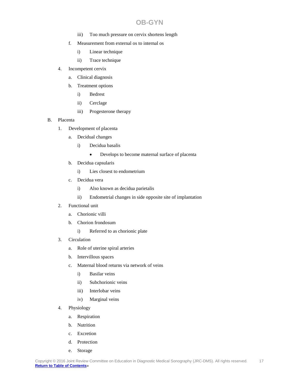- iii) Too much pressure on cervix shortens length
- f. Measurement from external os to internal os
	- i) Linear technique
	- ii) Trace technique
- 4. Incompetent cervix
	- a. Clinical diagnosis
	- b. Treatment options
		- i) Bedrest
		- ii) Cerclage
		- iii) Progesterone therapy

#### B. Placenta

- 1. Development of placenta
	- a. Decidual changes
		- i) Decidua basalis
			- Develops to become maternal surface of placenta
	- b. Decidua capsularis
		- i) Lies closest to endometrium
	- c. Decidua vera
		- i) Also known as decidua parietalis
		- ii) Endometrial changes in side opposite site of implantation
- 2. Functional unit
	- a. Chorionic villi
	- b. Chorion frondosum
		- i) Referred to as chorionic plate
- 3. Circulation
	- a. Role of uterine spiral arteries
	- b. Intervillous spaces
	- c. Maternal blood returns via network of veins
		- i) Basilar veins
		- ii) Subchorionic veins
		- iii) Interlobar veins
		- iv) Marginal veins
- 4. Physiology
	- a. Respiration
	- b. Nutrition
	- c. Excretion
	- d. Protection
	- e. Storage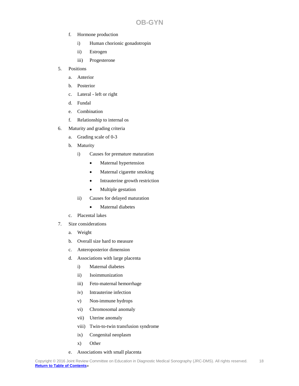- f. Hormone production
	- i) Human chorionic gonadotropin
	- ii) Estrogen
	- iii) Progesterone
- 5. Positions
	- a. Anterior
	- b. Posterior
	- c. Lateral left or right
	- d. Fundal
	- e. Combination
	- f. Relationship to internal os
- 6. Maturity and grading criteria
	- a. Grading scale of 0-3
	- b. Maturity
		- i) Causes for premature maturation
			- Maternal hypertension
			- Maternal cigarette smoking
			- Intrauterine growth restriction
			- Multiple gestation
		- ii) Causes for delayed maturation
			- Maternal diabetes
	- c. Placental lakes
- 7. Size considerations
	- a. Weight
	- b. Overall size hard to measure
	- c. Anteroposterior dimension
	- d. Associations with large placenta
		- i) Maternal diabetes
		- ii) Isoimmunization
		- iii) Feto-maternal hemorrhage
		- iv) Intrauterine infection
		- v) Non-immune hydrops
		- vi) Chromosomal anomaly
		- vii) Uterine anomaly
		- viii) Twin-to-twin transfusion syndrome
		- ix) Congenital neoplasm
		- x) Other
	- e. Associations with small placenta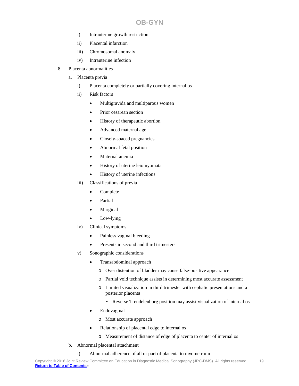- i) Intrauterine growth restriction
- ii) Placental infarction
- iii) Chromosomal anomaly
- iv) Intrauterine infection
- 8. Placenta abnormalities
	- a. Placenta previa
		- i) Placenta completely or partially covering internal os
		- ii) Risk factors
			- Multigravida and multiparous women
			- Prior cesarean section
			- History of therapeutic abortion
			- Advanced maternal age
			- Closely-spaced pregnancies
			- Abnormal fetal position
			- Maternal anemia
			- History of uterine leiomyomata
			- History of uterine infections
		- iii) Classifications of previa
			- Complete
			- **Partial**
			- **Marginal**
			- Low-lying
		- iv) Clinical symptoms
			- Painless vaginal bleeding
			- Presents in second and third trimesters
		- v) Sonographic considerations
			- Transabdominal approach
				- o Over distention of bladder may cause false-positive appearance
				- o Partial void technique assists in determining most accurate assessment
				- o Limited visualization in third trimester with cephalic presentations and a posterior placenta
					- ~ Reverse Trendelenburg position may assist visualization of internal os
			- **Endovaginal** 
				- o Most accurate approach
			- Relationship of placental edge to internal os
				- o Measurement of distance of edge of placenta to center of internal os
	- b. Abnormal placental attachment
		- i) Abnormal adherence of all or part of placenta to myometrium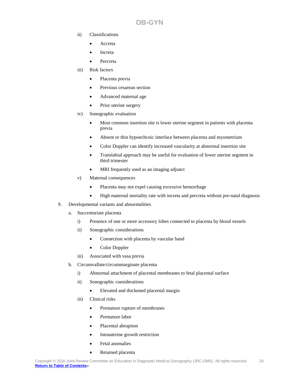- ii) Classifications
	- Accreta
	- **Increta**
	- Percreta
- iii) Risk factors
	- Placenta previa
	- Previous cesarean section
	- Advanced maternal age
	- Prior uterine surgery
- iv) Sonographic evaluation
	- Most common insertion site is lower uterine segment in patients with placenta previa
	- Absent or thin hypoechcoic interface between placenta and myometrium
	- Color Doppler can identify increased vascularity at abnormal insertion site
	- Translabial approach may be useful for evaluation of lower uterine segment in third trimester
	- MRI frequently used as an imaging adjunct
- v) Maternal consequences
	- Placenta may not expel causing excessive hemorrhage
	- High maternal mortality rate with increta and percreta without pre-natal diagnosis
- 9. Developmental variants and abnormalities
	- a. Succenturiate placenta
		- i) Presence of one or more accessory lobes connected to placenta by blood vessels
		- ii) Sonographic considerations
			- Connection with placenta by vascular band
			- Color Doppler
		- iii) Associated with vasa previa
	- b. Circumvallate/circummarginate placenta
		- i) Abnormal attachment of placental membranes to fetal placental surface
		- ii) Sonographic considerations
			- Elevated and thickened placental margin
		- iii) Clinical risks
			- Premature rupture of membranes
			- Premature labor
			- Placental abruption
			- Intrauterine growth restriction
			- Fetal anomalies
			- Retained placenta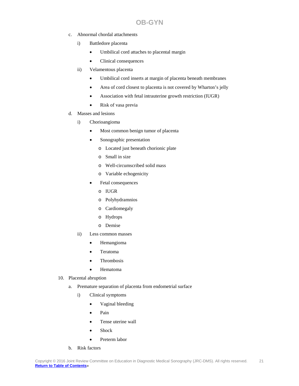- c. Abnormal chordal attachments
	- i) Battledore placenta
		- Umbilical cord attaches to placental margin
		- Clinical consequences
	- ii) Velamentous placenta
		- Umbilical cord inserts at margin of placenta beneath membranes
		- Area of cord closest to placenta is not covered by Wharton's jelly
		- Association with fetal intrauterine growth restriction (IUGR)
		- Risk of vasa previa
- d. Masses and lesions
	- i) Chorioangioma
		- Most common benign tumor of placenta
		- Sonographic presentation
			- o Located just beneath chorionic plate
			- o Small in size
			- o Well-circumscribed solid mass
			- o Variable echogenicity
		- Fetal consequences
			- o IUGR
			- o Polyhydramnios
			- o Cardiomegaly
			- o Hydrops
			- o Demise
	- ii) Less common masses
		- Hemangioma
		- Teratoma
		- Thrombosis
		- Hematoma
- 10. Placental abruption
	- a. Premature separation of placenta from endometrial surface
		- i) Clinical symptoms
			- Vaginal bleeding
			- Pain
			- Tense uterine wall
			- Shock
			- Preterm labor
	- b. Risk factors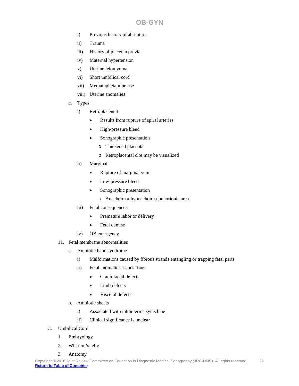- i) Previous history of abruption
- ii) Trauma
- iii) History of placenta previa
- iv) Maternal hypertension
- v) Uterine leiomyoma
- vi) Short umbilical cord
- vii) Methamphetamine use
- viii) Uterine anomalies
- c. Types
	- i) Retroplacental
		- Results from rupture of spiral arteries
		- High-pressure bleed
		- Sonographic presentation
			- o Thickened placenta
			- o Retroplacental clot may be visualized
	- ii) Marginal
		- Rupture of marginal vein
		- Low-pressure bleed
		- Sonographic presentation
			- o Anechoic or hypoechoic subchorionic area
	- iii) Fetal consequences
		- Premature labor or delivery
		- Fetal demise
	- iv) OB emergency
- 11. Fetal membrane abnormalities
	- a. Amniotic band syndrome
		- i) Malformations caused by fibrous strands entangling or trapping fetal parts
		- ii) Fetal anomalies associations
			- Craniofacial defects
			- Limb defects
			- Visceral defects
	- b. Amniotic sheets
		- i) Associated with intrauterine synechiae
		- ii) Clinical significance is unclear
- C. Umbilical Cord
	- 1. Embryology
	- 2. Wharton's jelly
	- 3. Anatomy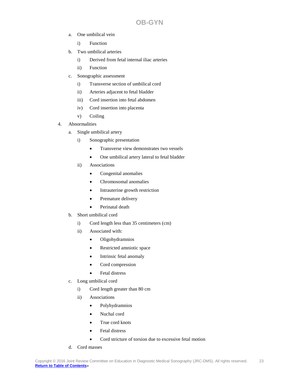- a. One umbilical vein
	- i) Function
- b. Two umbilical arteries
	- i) Derived from fetal internal iliac arteries
	- ii) Function
- c. Sonographic assessment
	- i) Transverse section of umbilical cord
	- ii) Arteries adjacent to fetal bladder
	- iii) Cord insertion into fetal abdomen
	- iv) Cord insertion into placenta
	- v) Coiling

## 4. Abnormalities

- a. Single umbilical artery
	- i) Sonographic presentation
		- Transverse view demonstrates two vessels
		- One umbilical artery lateral to fetal bladder
	- ii) Associations
		- Congenital anomalies
		- Chromosomal anomalies
		- Intrauterine growth restriction
		- Premature delivery
		- Perinatal death
- b. Short umbilical cord
	- i) Cord length less than 35 centimeters (cm)
	- ii) Associated with:
		- Oligohydramnios
		- Restricted amniotic space
		- Intrinsic fetal anomaly
		- Cord compression
		- Fetal distress
- c. Long umbilical cord
	- i) Cord length greater than 80 cm
	- ii) Associations
		- Polyhydramnios
		- Nuchal cord
		- True cord knots
		- Fetal distress
		- Cord stricture of torsion due to excessive fetal motion
- d. Cord masses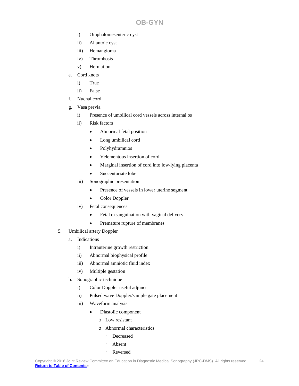- i) Omphalomesenteric cyst
- ii) Allantoic cyst
- iii) Hemangioma
- iv) Thrombosis
- v) Herniation
- e. Cord knots
	- i) True
	- ii) False
- f. Nuchal cord
- g. Vasa previa
	- i) Presence of umbilical cord vessels across internal os
	- ii) Risk factors
		- Abnormal fetal position
		- Long umbilical cord
		- Polyhydramnios
		- Velementous insertion of cord
		- Marginal insertion of cord into low-lying placenta
		- Succenturiate lobe
	- iii) Sonographic presentation
		- Presence of vessels in lower uterine segment
		- Color Doppler
	- iv) Fetal consequences
		- Fetal exsanguination with vaginal delivery
		- Premature rupture of membranes
- 5. Umbilical artery Doppler
	- a. Indications
		- i) Intrauterine growth restriction
		- ii) Abnormal biophysical profile
		- iii) Abnormal amniotic fluid index
		- iv) Multiple gestation
	- b. Sonographic technique
		- i) Color Doppler useful adjunct
		- ii) Pulsed wave Doppler/sample gate placement
		- iii) Waveform analysis
			- Diastolic component
				- o Low resistant
				- o Abnormal characteristics
					- ~ Decreased
					- ~ Absent
					- ~ Reversed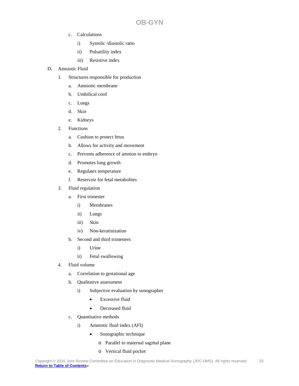- c. Calculations
	- i) Systolic /diastolic ratio
	- ii) Pulsatility index
	- iii) Resistive index
- D. Amniotic Fluid
	- 1. Structures responsible for production
		- a. Amniotic membrane
		- b. Umbilical cord
		- c. Lungs
		- d. Skin
		- e. Kidneys
	- 2. Functions
		- a. Cushion to protect fetus
		- b. Allows for activity and movement
		- c. Prevents adherence of amnion to embryo
		- d. Promotes lung growth
		- e. Regulates temperature
		- f. Reservoir for fetal metabolites
	- 3. Fluid regulation
		- a. First trimester
			- i) Membranes
			- ii) Lungs
			- iii) Skin
			- iv) Non-keratinization
		- b. Second and third trimesters
			- i) Urine
			- ii) Fetal swallowing
	- 4. Fluid volume
		- a. Correlation to gestational age
		- b. Qualitative assessment
			- i) Subjective evaluation by sonographer
				- Excessive fluid
				- Decreased fluid
		- c. Quantitative methods
			- i) Amniotic fluid index (AFI)
				- Sonographic technique
					- o Parallel to maternal sagittal plane
					- o Vertical fluid pocket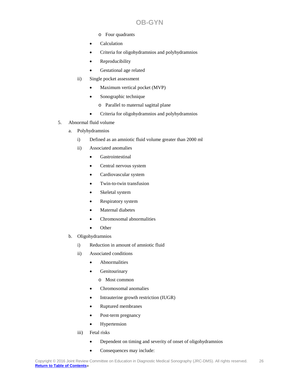- **OB-GYN**
- o Four quadrants
- Calculation
- Criteria for oligohydramnios and polyhydramnios
- Reproducibility
- Gestational age related
- ii) Single pocket assessment
	- Maximum vertical pocket (MVP)
	- Sonographic technique
		- o Parallel to maternal sagittal plane
	- Criteria for oligohydramnios and polyhydramnios
- 5. Abnormal fluid volume
	- a. Polyhydramnios
		- i) Defined as an amniotic fluid volume greater than 2000 ml
		- ii) Associated anomalies
			- Gastrointestinal
			- Central nervous system
			- Cardiovascular system
			- Twin-to-twin transfusion
			- Skeletal system
			- Respiratory system
			- Maternal diabetes
			- Chromosomal abnormalities
			- Other
	- b. Oligohydramnios
		- i) Reduction in amount of amniotic fluid
		- ii) Associated conditions
			- Abnormalities
			- Genitourinary
				- o Most common
			- Chromosomal anomalies
			- Intrauterine growth restriction (IUGR)
			- Ruptured membranes
			- Post-term pregnancy
			- Hypertension
		- iii) Fetal risks
			- Dependent on timing and severity of onset of oligohydramnios
			- Consequences may include: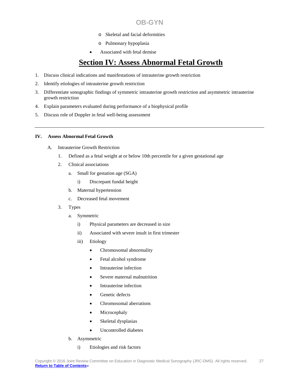- o Skeletal and facial deformities
- o Pulmonary hypoplasia
- Associated with fetal demise

# **Section IV: Assess Abnormal Fetal Growth**

- <span id="page-26-0"></span>1. Discuss clinical indications and manifestations of intrauterine growth restriction
- 2. Identify etiologies of intrauterine growth restriction
- 3. Differentiate sonographic findings of symmetric intrauterine growth restriction and asymmetric intrauterine growth restriction
- 4. Explain parameters evaluated during performance of a biophysical profile
- 5. Discuss role of Doppler in fetal well-being assessment

## **IV. Assess Abnormal Fetal Growth**

- A. Intrauterine Growth Restriction
	- 1. Defined as a fetal weight at or below 10th percentile for a given gestational age
	- 2. Clinical associations
		- a. Small for gestation age (SGA)
			- i) Discrepant fundal height
		- b. Maternal hypertension
		- c. Decreased fetal movement
	- 3. Types
		- a. Symmetric
			- i) Physical parameters are decreased in size
			- ii) Associated with severe insult in first trimester
			- iii) Etiology
				- Chromosomal abnormality
				- Fetal alcohol syndrome
				- Intrauterine infection
				- Severe maternal malnutrition
				- Intrauterine infection
				- Genetic defects
				- Chromosomal aberrations
				- **Microcephaly**
				- Skeletal dysplasias
				- Uncontrolled diabetes
		- b. Asymmetric
			- i) Etiologies and risk factors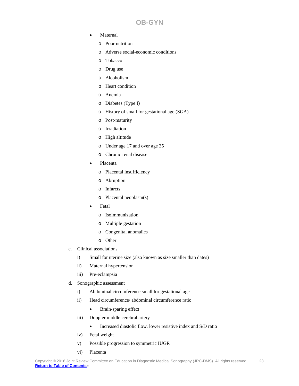- **Maternal** 
	- o Poor nutrition
	- o Adverse social-economic conditions
	- o Tobacco
	- o Drug use
	- o Alcoholism
	- o Heart condition
	- o Anemia
	- o Diabetes (Type I)
	- o History of small for gestational age (SGA)
	- o Post-maturity
	- o Irradiation
	- o High altitude
	- o Under age 17 and over age 35
	- o Chronic renal disease
- Placenta
	- o Placental insufficiency
	- o Abruption
	- o Infarcts
	- o Placental neoplasm(s)
- **Fetal** 
	- o Isoimmunization
	- o Multiple gestation
	- o Congenital anomalies
	- o Other
- c. Clinical associations
	- i) Small for uterine size (also known as size smaller than dates)
	- ii) Maternal hypertension
	- iii) Pre-eclampsia
- d. Sonographic assessment
	- i) Abdominal circumference small for gestational age
	- ii) Head circumference/ abdominal circumference ratio
		- Brain-sparing effect
	- iii) Doppler middle cerebral artery
		- Increased diastolic flow, lower resistive index and S/D ratio
	- iv) Fetal weight
	- v) Possible progression to symmetric IUGR
	- vi) Placenta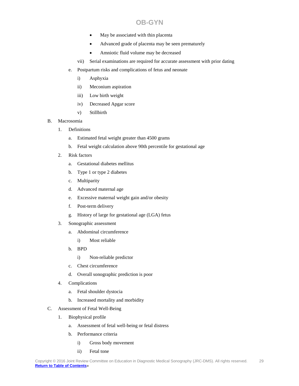- May be associated with thin placenta
- Advanced grade of placenta may be seen prematurely
- Amniotic fluid volume may be decreased
- vii) Serial examinations are required for accurate assessment with prior dating
- e. Postpartum risks and complications of fetus and neonate
	- i) Asphyxia
	- ii) Meconium aspiration
	- iii) Low birth weight
	- iv) Decreased Apgar score
	- v) Stillbirth
- B. Macrosomia
	- 1. Definitions
		- a. Estimated fetal weight greater than 4500 grams
		- b. Fetal weight calculation above 90th percentile for gestational age
	- 2. Risk factors
		- a. Gestational diabetes mellitus
		- b. Type 1 or type 2 diabetes
		- c. Multiparity
		- d. Advanced maternal age
		- e. Excessive maternal weight gain and/or obesity
		- f. Post-term delivery
		- g. History of large for gestational age (LGA) fetus
	- 3. Sonographic assessment
		- a. Abdominal circumference
			- i) Most reliable
		- b. BPD
			- i) Non-reliable predictor
		- c. Chest circumference
		- d. Overall sonographic prediction is poor
	- 4. Complications
		- a. Fetal shoulder dystocia
		- b. Increased mortality and morbidity
- C. Assessment of Fetal Well-Being
	- 1. Biophysical profile
		- a. Assessment of fetal well-being or fetal distress
		- b. Performance criteria
			- i) Gross body movement
			- ii) Fetal tone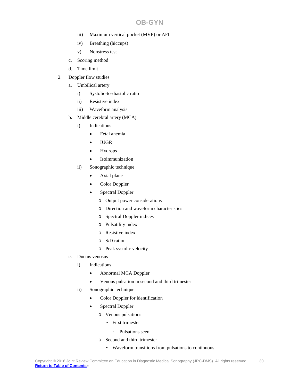- iii) Maximum vertical pocket (MVP) or AFI
- iv) Breathing (hiccups)
- v) Nonstress test
- c. Scoring method
- d. Time limit
- 2. Doppler flow studies
	- a. Umbilical artery
		- i) Systolic-to-diastolic ratio
		- ii) Resistive index
		- iii) Waveform analysis
	- b. Middle cerebral artery (MCA)
		- i) Indications
			- Fetal anemia
			- IUGR
			- Hydrops
			- Isoimmunization
		- ii) Sonographic technique
			- Axial plane
			- Color Doppler
			- Spectral Doppler
				- o Output power considerations
				- o Direction and waveform characteristics
				- o Spectral Doppler indices
				- o Pulsatility index
				- o Resistive index
				- o S/D ration
				- o Peak systolic velocity
	- c. Ductus venosus
		- i) Indications
			- Abnormal MCA Doppler
			- Venous pulsation in second and third trimester
		- ii) Sonographic technique
			- Color Doppler for identification
			- Spectral Doppler
				- o Venous pulsations
					- ~ First trimester
						- ⋅ Pulsations seen
				- o Second and third trimester
					- ~ Waveform transitions from pulsations to continuous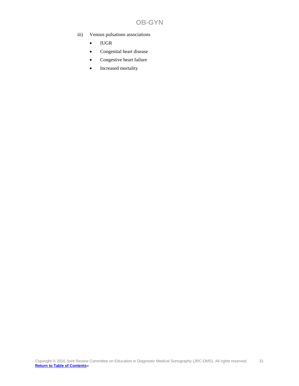- iii) Venous pulsations associations
	- IUGR
	- Congenital heart disease
	- Congestive heart failure
	- Increased mortality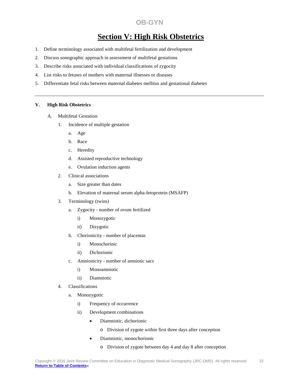# **Section V: High Risk Obstetrics**

- <span id="page-31-0"></span>1. Define terminology associated with multifetal fertilization and development
- 2. Discuss sonographic approach in assessment of multifetal gestations
- 3. Describe risks associated with individual classifications of zygocity
- 4. List risks to fetuses of mothers with maternal illnesses or diseases
- 5. Differentiate fetal risks between maternal diabetes mellitus and gestational diabetes

#### **V. High Risk Obstetrics**

- A. Multifetal Gestation
	- 1. Incidence of multiple gestation
		- a. Age
		- b. Race
		- c. Heredity
		- d. Assisted reproductive technology
		- e. Ovulation induction agents
	- 2. Clinical associations
		- a. Size greater than dates
		- b. Elevation of maternal serum alpha-fetoprotein (MSAFP)
	- 3. Terminology (twins)
		- a. Zygocity number of ovum fertilized
			- i) Monozygotic
			- ii) Dizygotic
		- b. Chorionicity number of placentas
			- i) Monochorinic
			- ii) Dichorionic
		- c. Amnionicity number of amniotic sacs
			- i) Monoamniotic
			- ii) Diamniotic
	- 4. Classifications
		- a. Monozygotic
			- i) Frequency of occurrence
			- ii) Development combinations
				- Diamniotic, dichorionic
					- o Division of zygote within first three days after conception
				- Diamniotic, monochorionic
					- o Division of zygote between day 4 and day 8 after conception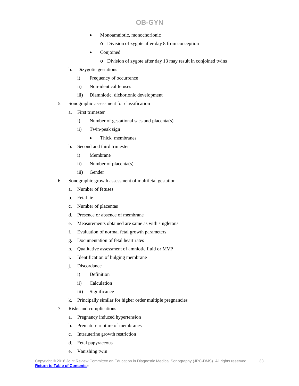- Monoamniotic, monochorionic
	- o Division of zygote after day 8 from conception
- **Conjoined** 
	- o Division of zygote after day 13 may result in conjoined twins
- b. Dizygotic gestations
	- i) Frequency of occurrence
	- ii) Non-identical fetuses
	- iii) Diamniotic, dichorionic development
- 5. Sonographic assessment for classification
	- a. First trimester
		- i) Number of gestational sacs and placenta(s)
		- ii) Twin-peak sign
			- Thick membranes
	- b. Second and third trimester
		- i) Membrane
		- ii) Number of placenta(s)
		- iii) Gender
- 6. Sonographic growth assessment of multifetal gestation
	- a. Number of fetuses
	- b. Fetal lie
	- c. Number of placentas
	- d. Presence or absence of membrane
	- e. Measurements obtained are same as with singletons
	- f. Evaluation of normal fetal growth parameters
	- g. Documentation of fetal heart rates
	- h. Qualitative assessment of amniotic fluid or MVP
	- i. Identification of bulging membrane
	- j. Discordance
		- i) Definition
		- ii) Calculation
		- iii) Significance
	- k. Principally similar for higher order multiple pregnancies
- 7. Risks and complications
	- a. Pregnancy induced hypertension
	- b. Premature rupture of membranes
	- c. Intrauterine growth restriction
	- d. Fetal papyraceous
	- e. Vanishing twin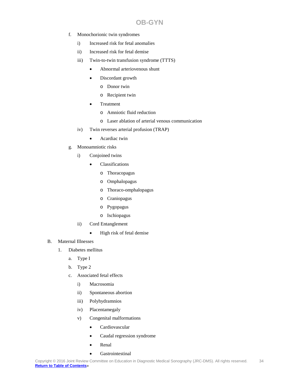- f. Monochorionic twin syndromes
	- i) Increased risk for fetal anomalies
	- ii) Increased risk for fetal demise
	- iii) Twin-to-twin transfusion syndrome (TTTS)
		- Abnormal arteriovenous shunt
		- Discordant growth
			- o Donor twin
			- o Recipient twin
		- **Treatment** 
			- o Amniotic fluid reduction
			- o Laser ablation of arterial venous communication
	- iv) Twin reverses arterial profusion (TRAP)
		- Acardiac twin
- g. Monoamniotic risks
	- i) Conjoined twins
		- Classifications
			- o Thoracopagus
			- o Omphalopagus
			- o Thoraco-omphalopagus
			- o Craniopagus
			- o Pygopagus
			- o Ischiopagus
	- ii) Cord Entanglement
		- High risk of fetal demise
- B. Maternal Illnesses
	- 1. Diabetes mellitus
		- a. Type I
		- b. Type 2
		- c. Associated fetal effects
			- i) Macrosomia
			- ii) Spontaneous abortion
			- iii) Polyhydramnios
			- iv) Placentamegaly
			- v) Congenital malformations
				- Cardiovascular
				- Caudal regression syndrome
				- Renal
				- **Gastrointestinal**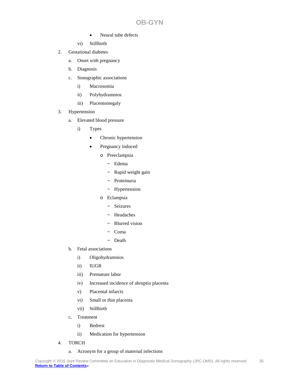- Neural tube defects
- vi) Stillbirth
- 2. Gestational diabetes
	- a. Onset with pregnancy
	- b. Diagnosis
	- c. Sonographic associations
		- i) Macrosomia
		- ii) Polyhydramnios
		- iii) Placentomegaly
- 3. Hypertension
	- a. Elevated blood pressure
		- i) Types
			- Chronic hypertension
			- Pregnancy induced
				- o Preeclampsia
					- ~ Edema
					- $~\sim~$  Rapid weight gain
					- ~ Proteinuria
					- ~ Hypertension
				- o Eclampsia
					- ~ Seizures
					- ~ Headaches
					- ~ Blurred vision
					- ~ Coma
					- ~ Death
	- b. Fetal associations
		- i) Oligohydramnios
		- ii) IUGR
		- iii) Premature labor
		- iv) Increased incidence of abruptio placenta
		- v) Placental infarcts
		- vi) Small or thin placenta
		- vii) Stillbirth
	- c. Treatment
		- i) Bedrest
		- ii) Medication for hypertension
- 4. TORCH

## a. Acronym for a group of maternal infections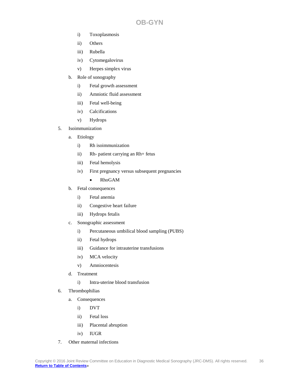- i) Toxoplasmosis
- ii) Others
- iii) Rubella
- iv) Cytomegalovirus
- v) Herpes simplex virus
- b. Role of sonography
	- i) Fetal growth assessment
	- ii) Amniotic fluid assessment
	- iii) Fetal well-being
	- iv) Calcifications
	- v) Hydrops
- 5. Isoimmunization
	- a. Etiology
		- i) Rh isoimmunization
		- ii) Rh- patient carrying an Rh+ fetus
		- iii) Fetal hemolysis
		- iv) First pregnancy versus subsequent pregnancies
			- RhoGAM
	- b. Fetal consequences
		- i) Fetal anemia
		- ii) Congestive heart failure
		- iii) Hydrops fetalis
	- c. Sonographic assessment
		- i) Percutaneous umbilical blood sampling (PUBS)
		- ii) Fetal hydrops
		- iii) Guidance for intrauterine transfusions
		- iv) MCA velocity
		- v) Amniocentesis
	- d. Treatment
		- i) Intra-uterine blood transfusion
- 6. Thrombophilias
	- a. Consequences
		- i) DVT
		- ii) Fetal loss
		- iii) Placental abruption
		- iv) IUGR
- 7. Other maternal infections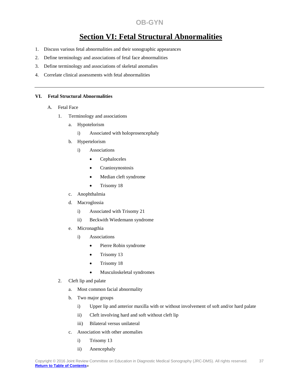# **Section VI: Fetal Structural Abnormalities**

- 1. Discuss various fetal abnormalities and their sonographic appearances
- 2. Define terminology and associations of fetal face abnormalities
- 3. Define terminology and associations of skeletal anomalies
- 4. Correlate clinical assessments with fetal abnormalities

#### **VI. Fetal Structural Abnormalities**

- A. Fetal Face
	- 1. Terminology and associations
		- a. Hypotelorism
			- i) Associated with holoprosencephaly
		- b. Hypertelorism
			- i) Associations
				- Cephaloceles
				- Craniosynostosis
				- Median cleft syndrome
				- Trisomy 18
		- c. Anophthalmia
		- d. Macroglossia
			- i) Associated with Trisomy 21
			- ii) Beckwith Wiedemann syndrome
		- e. Micronagthia
			- i) Associations
				- Pierre Robin syndrome
				- Trisomy 13
				- Trisomy 18
				- Musculoskeletal syndromes
	- 2. Cleft lip and palate
		- a. Most common facial abnormality
		- b. Two major groups
			- i) Upper lip and anterior maxilla with or without involvement of soft and/or hard palate
			- ii) Cleft involving hard and soft without cleft lip
			- iii) Bilateral versus unilateral
		- c. Association with other anomalies
			- i) Trisomy 13
			- ii) Anencephaly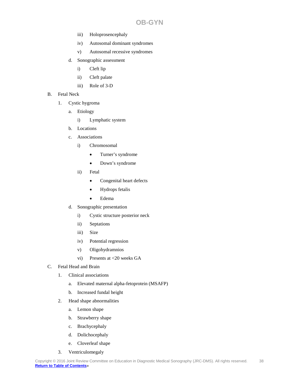- iii) Holoprosencephaly
- iv) Autosomal dominant syndromes
- v) Autosomal recessive syndromes
- d. Sonographic assessment
	- i) Cleft lip
	- ii) Cleft palate
	- iii) Role of 3-D
- B. Fetal Neck
	- 1. Cystic hygroma
		- a. Etiology
			- i) Lymphatic system
		- b. Locations
		- c. Associations
			- i) Chromosomal
				- Turner's syndrome
				- Down's syndrome
			- ii) Fetal
				- Congenital heart defects
				- Hydrops fetalis
				- Edema
		- d. Sonographic presentation
			- i) Cystic structure posterior neck
			- ii) Septations
			- iii) Size
			- iv) Potential regression
			- v) Oligohydramnios
			- vi) Presents at <20 weeks GA
- C. Fetal Head and Brain
	- 1. Clinical associations
		- a. Elevated maternal alpha-fetoprotein (MSAFP)
		- b. Increased fundal height
	- 2. Head shape abnormalities
		- a. Lemon shape
		- b. Strawberry shape
		- c. Brachycephaly
		- d. Dolichocephaly
		- e. Cloverleaf shape
	- 3. Ventriculomegaly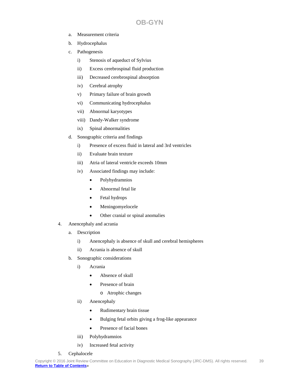- a. Measurement criteria
- b. Hydrocephalus
- c. Pathogenesis
	- i) Stenosis of aqueduct of Sylvius
	- ii) Excess cerebrospinal fluid production
	- iii) Decreased cerebrospinal absorption
	- iv) Cerebral atrophy
	- v) Primary failure of brain growth
	- vi) Communicating hydrocephalus
	- vii) Abnormal karyotypes
	- viii) Dandy-Walker syndrome
	- ix) Spinal abnormalities
- d. Sonographic criteria and findings
	- i) Presence of excess fluid in lateral and 3rd ventricles
	- ii) Evaluate brain texture
	- iii) Atria of lateral ventricle exceeds 10mm
	- iv) Associated findings may include:
		- Polyhydramnios
		- Abnormal fetal lie
		- Fetal hydrops
		- Meningomyelocele
		- Other cranial or spinal anomalies
- 4. Anencephaly and acrania
	- a. Description
		- i) Anencephaly is absence of skull and cerebral hemispheres
		- ii) Acrania is absence of skull
	- b. Sonographic considerations
		- i) Acrania
			- Absence of skull
			- Presence of brain
				- o Atrophic changes
		- ii) Anencephaly
			- Rudimentary brain tissue
			- Bulging fetal orbits giving a frog-like appearance
			- Presence of facial bones
		- iii) Polyhydramnios
		- iv) Increased fetal activity
- 5. Cephalocele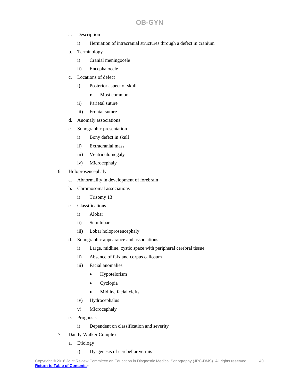- a. Description
	- i) Herniation of intracranial structures through a defect in cranium
- b. Terminology
	- i) Cranial meningocele
	- ii) Encephalocele
- c. Locations of defect
	- i) Posterior aspect of skull
		- Most common
	- ii) Parietal suture
	- iii) Frontal suture
- d. Anomaly associations
- e. Sonographic presentation
	- i) Bony defect in skull
	- ii) Extracranial mass
	- iii) Ventriculomegaly
	- iv) Microcephaly
- 6. Holoprosencephaly
	- a. Abnormality in development of forebrain
	- b. Chromosomal associations
		- i) Trisomy 13
	- c. Classifications
		- i) Alobar
		- ii) Semilobar
		- iii) Lobar holoprosencephaly
	- d. Sonographic appearance and associations
		- i) Large, midline, cystic space with peripheral cerebral tissue
		- ii) Absence of falx and corpus callosum
		- iii) Facial anomalies
			- Hypotelorism
			- Cyclopia
			- Midline facial clefts
		- iv) Hydrocephalus
		- v) Microcephaly
	- e. Prognosis
		- i) Dependent on classification and severity
- 7. Dandy-Walker Complex
	- a. Etiology

#### i) Dysgenesis of cerebellar vermis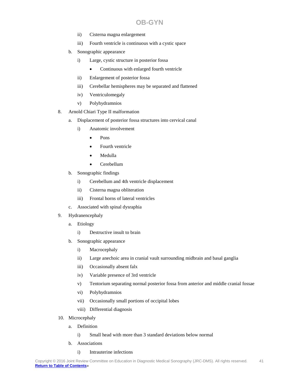- ii) Cisterna magna enlargement
- iii) Fourth ventricle is continuous with a cystic space
- b. Sonographic appearance
	- i) Large, cystic structure in posterior fossa
		- Continuous with enlarged fourth ventricle
	- ii) Enlargement of posterior fossa
	- iii) Cerebellar hemispheres may be separated and flattened
	- iv) Ventriculomegaly
	- v) Polyhydramnios
- 8. Arnold Chiari Type II malformation
	- a. Displacement of posterior fossa structures into cervical canal
		- i) Anatomic involvement
			- Pons
			- Fourth ventricle
			- Medulla
			- Cerebellum
	- b. Sonographic findings
		- i) Cerebellum and 4th ventricle displacement
		- ii) Cisterna magna obliteration
		- iii) Frontal horns of lateral ventricles
	- c. Associated with spinal dysraphia
- 9. Hydranencephaly
	- a. Etiology
		- i) Destructive insult to brain
	- b. Sonographic appearance
		- i) Macrocephaly
		- ii) Large anechoic area in cranial vault surrounding midbrain and basal ganglia
		- iii) Occasionally absent falx
		- iv) Variable presence of 3rd ventricle
		- v) Tentorium separating normal posterior fossa from anterior and middle cranial fossae
		- vi) Polyhydramnios
		- vii) Occasionally small portions of occipital lobes
		- viii) Differential diagnosis
- 10. Microcephaly
	- a. Definition
		- i) Small head with more than 3 standard deviations below normal
	- b. Associations

#### i) Intrauterine infections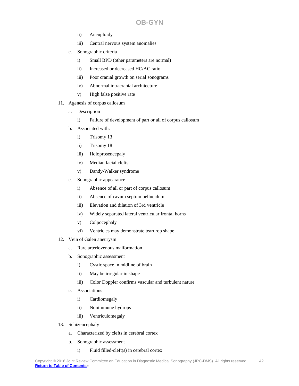- ii) Aneuploidy
- iii) Central nervous system anomalies
- c. Sonographic criteria
	- i) Small BPD (other parameters are normal)
	- ii) Increased or decreased HC/AC ratio
	- iii) Poor cranial growth on serial sonograms
	- iv) Abnormal intracranial architecture
	- v) High false positive rate
- 11. Agenesis of corpus callosum
	- a. Description
		- i) Failure of development of part or all of corpus callosum
	- b. Associated with:
		- i) Trisomy 13
		- ii) Trisomy 18
		- iii) Holoprosencepaly
		- iv) Median facial clefts
		- v) Dandy-Walker syndrome
	- c. Sonographic appearance
		- i) Absence of all or part of corpus callosum
		- ii) Absence of cavum septum pellucidum
		- iii) Elevation and dilation of 3rd ventricle
		- iv) Widely separated lateral ventricular frontal horns
		- v) Colpocephaly
		- vi) Ventricles may demonstrate teardrop shape
- 12. Vein of Galen aneurysm
	- a. Rare arteriovenous malformation
	- b. Sonographic assessment
		- i) Cystic space in midline of brain
		- ii) May be irregular in shape
		- iii) Color Doppler confirms vascular and turbulent nature
	- c. Associations
		- i) Cardiomegaly
		- ii) Nonimmune hydrops
		- iii) Ventriculomegaly
- 13. Schizencephaly
	- a. Characterized by clefts in cerebral cortex
	- b. Sonographic assessment
		- i) Fluid filled-cleft(s) in cerebral cortex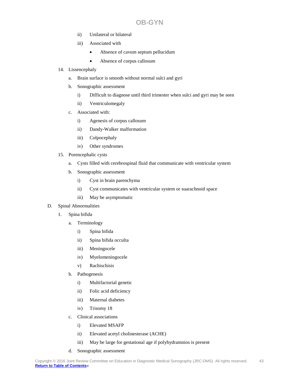- ii) Unilateral or bilateral
- iii) Associated with
	- Absence of cavum septum pellucidum
	- Absence of corpus callosum
- 14. Lissencephaly
	- a. Brain surface is smooth without normal sulci and gyri
	- b. Sonographic assessment
		- i) Difficult to diagnose until third trimester when sulci and gyri may be seen
		- ii) Ventriculomegaly
	- c. Associated with:
		- i) Agenesis of corpus callosum
		- ii) Dandy-Walker malformation
		- iii) Colpocephaly
		- iv) Other syndromes
- 15. Porencephalic cysts
	- a. Cysts filled with cerebrospinal fluid that communicate with ventricular system
	- b. Sonographic assessment
		- i) Cyst in brain parenchyma
		- ii) Cyst communicates with ventricular system or suarachnoid space
		- iii) May be asymptomatic
- D. Spinal Abnormalities
	- 1. Spina bifida
		- a. Terminology
			- i) Spina bifida
			- ii) Spina bifida occulta
			- iii) Meningocele
			- iv) Myelomeningocele
			- v) Rachischisis
		- b. Pathogenesis
			- i) Multifactorial genetic
			- ii) Folic acid deficiency
			- iii) Maternal diabetes
			- iv) Trisomy 18
		- c. Clinical associations
			- i) Elevated MSAFP
			- ii) Elevated acetyl cholinesterase (ACHE)
			- iii) May be large for gestational age if polyhydramnios is present
		- d. Sonographic assessment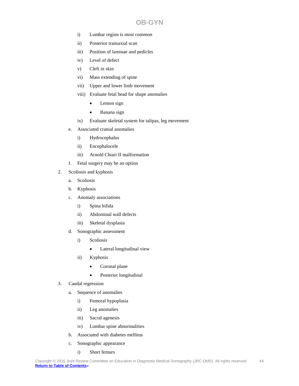- i) Lumbar region is most common
- ii) Posterior transaxial scan
- iii) Position of laminae and pedicles
- iv) Level of defect
- v) Cleft in skin
- vi) Mass extending of spine
- vii) Upper and lower limb movement
- viii) Evaluate fetal head for shape anomalies
	- Lemon sign
	- Banana sign
- ix) Evaluate skeletal system for talipas, leg movement
- e. Associated cranial anomalies
	- i) Hydrocephalus
	- ii) Encephalocele
	- iii) Arnold Chiari II malformation
- f. Fetal surgery may be an option
- 2. Scoliosis and kyphosis
	- a. Scoliosis
	- b. Kyphosis
	- c. Anomaly associations
		- i) Spina bifida
		- ii) Abdominal wall defects
		- iii) Skeletal dysplasia
	- d. Sonographic assessment
		- i) Scoliosis
			- Lateral longitudinal view
		- ii) Kyphosis
			- Coronal plane
			- Posterior longitudinal
- 3. Caudal regression
	- a. Sequence of anomalies
		- i) Femoral hypoplasia
		- ii) Leg anomalies
		- iii) Sacral agenesis
		- iv) Lumbar spine abnormalities
	- b. Associated with diabetes mellitus
	- c. Sonographic appearance
		- i) Short femurs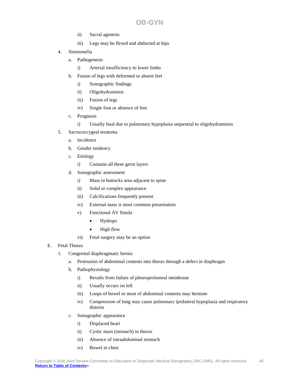- ii) Sacral agenesis
- iii) Legs may be flexed and abducted at hips
- 4. Sirenomelia
	- a. Pathogenesis
		- i) Arterial insufficiency to lower limbs
	- b. Fusion of legs with deformed or absent feet
		- i) Sonographic findings
		- ii) Oligohydramnios
		- iii) Fusion of legs
		- iv) Single foot or absence of feet
	- c. Prognosis
		- i) Usually fatal due to pulmonary hypoplasia sequential to oligohydramnios
- 5. Sacrococcygeal teratoma
	- a. Incidence
	- b. Gender tendency
	- c. Etiology
		- i) Contains all three germ layers
	- d. Sonographic assessment
		- i) Mass in buttocks area adjacent to spine
		- ii) Solid or complex appearance
		- iii) Calcifications frequently present
		- iv) External mass is most common presentation
		- v) Functional AV fistula
			- Hydrops
			- High flow
		- vi) Fetal surgery may be an option
- E. Fetal Thorax
	- 1. Congenital diaphragmatic hernia
		- a. Protrusion of abdominal contents into thorax through a defect in diaphragm
		- b. Pathophysiology
			- i) Results from failure of pleuroperitoneal membrane
			- ii) Usually occurs on left
			- iii) Loops of bowel or most of abdominal contents may herniate
			- iv) Compression of lung may cause pulmonary ipsilateral hypoplasia and respiratory distress
		- c. Sonographic appearance
			- i) Displaced heart
			- ii) Cystic mass (stomach) in thorax
			- iii) Absence of intraabdominal stomach
			- iv) Bowel in chest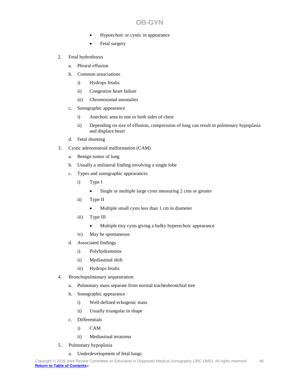- Hypoechoic or cystic in appearance
- Fetal surgery
- 2. Fetal hydrothorax
	- a. Pleural effusion
	- b. Common associations
		- i) Hydrops fetalis
		- ii) Congestive heart failure
		- iii) Chromosomal anomalies
	- c. Sonographic appearance
		- i) Anechoic area in one or both sides of chest
		- ii) Depending on size of effusion, compression of lung can result in pulmonary hypoplasia and displace heart
	- d. Fetal shunting
- 3. Cystic adenomatoid malformation (CAM)
	- a. Benign tumor of lung
	- b. Usually a unilateral finding involving a single lobe
	- c. Types and sonographic appearances
		- i) Type I
			- Single or multiple large cysts measuring 2 cms or greater
		- ii) Type II
			- Multiple small cysts less than 1 cm in diameter
		- iii) Type III
			- Multiple tiny cysts giving a bulky hyperechoic appearance
		- iv) May be spontaneous
	- d. Associated findings
		- i) Polyhydramnios
		- ii) Mediastinal shift
		- iii) Hydrops fetalis
- 4. Bronchopulmonary sequestration
	- a. Pulmonary mass separate from normal tracheobronchial tree
	- b. Sonographic appearance
		- i) Well-defined echogenic mass
		- ii) Usually triangular in shape
	- c. Differentials
		- i) CAM
		- ii) Mediastinal teratoma
- 5. Pulmonary hypoplasia
	- a. Underdevelopment of fetal lungs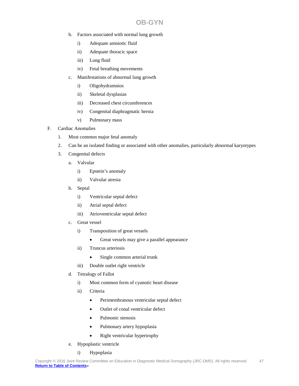- b. Factors associated with normal lung growth
	- i) Adequate amniotic fluid
	- ii) Adequate thoracic space
	- iii) Lung fluid
	- iv) Fetal breathing movements
- c. Manifestations of abnormal lung growth
	- i) Oligohydramnios
	- ii) Skeletal dysplasias
	- iii) Decreased chest circumferences
	- iv) Congenital diaphragmatic hernia
	- v) Pulmonary mass

#### F. Cardiac Anomalies

- 1. Most common major fetal anomaly
- 2. Can be an isolated finding or associated with other anomalies, particularly abnormal karyotypes
- 3. Congenital defects
	- a. Valvular
		- i) Epstein's anomaly
		- ii) Valvular atresia
	- b. Septal
		- i) Ventricular septal defect
		- ii) Atrial septal defect
		- iii) Atrioventricular septal defect
	- c. Great vessel
		- i) Transposition of great vessels
			- Great vessels may give a parallel appearance
		- ii) Truncus arteriosis
			- Single common arterial trunk
		- iii) Double outlet right ventricle
	- d. Tetralogy of Fallot
		- i) Most common form of cyanotic heart disease
		- ii) Criteria
			- Perimembranous ventricular septal defect
			- Outlet of conal ventricular defect
			- Pulmonic stenosis
			- Pulmonary artery hypoplasia
			- Right ventricular hypertrophy
	- e. Hypoplastic ventricle
		- i) Hypoplasia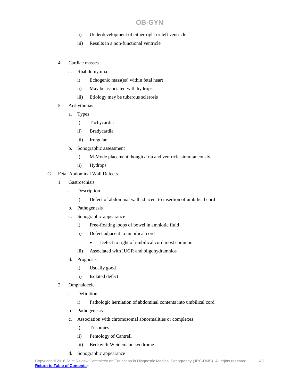- ii) Underdevelopment of either right or left ventricle
- iii) Results in a non-functional ventricle
- 4. Cardiac masses
	- a. Rhabdomyoma
		- i) Echogenic mass(es) within fetal heart
		- ii) May be associated with hydrops
		- iii) Etiology may be tuberous sclerosis
- 5. Arrhythmias
	- a. Types
		- i) Tachycardia
		- ii) Bradycardia
		- iii) Irregular
	- b. Sonographic assessment
		- i) M-Mode placement though atria and ventricle simultaneously
		- ii) Hydrops
- G. Fetal Abdominal Wall Defects
	- 1. Gastroschisis
		- a. Description
			- i) Defect of abdominal wall adjacent to insertion of umbilical cord
		- b. Pathogenesis
		- c. Sonographic appearance
			- i) Free-floating loops of bowel in amniotic fluid
			- ii) Defect adjacent to umbilical cord
				- Defect to right of umbilical cord most common
			- iii) Associated with IUGR and oligohydramnios
		- d. Prognosis
			- i) Usually good
			- ii) Isolated defect
	- 2. Omphalocele
		- a. Definition
			- i) Pathologic herniation of abdominal contents into umbilical cord
		- b. Pathogenesis
		- c. Association with chromosomal abnormalities or complexes
			- i) Trisomies
			- ii) Pentology of Cantrell
			- iii) Beckwith-Weidemann syndrome
		- d. Sonographic appearance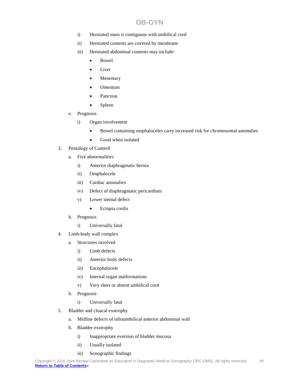- i) Herniated mass is contiguous with umbilical cord
- ii) Herniated contents are covered by membrane
- iii) Herniated abdominal contents may include:
	- Bowel
	- Liver
	- **Mesentary**
	- Omentum
	- Pancreas
	- Spleen
- e. Prognosis
	- i) Organ involvement
		- Bowel containing omphaloceles carry increased risk for chromosomal anomalies
		- Good when isolated
- 3. Pentalogy of Cantrell
	- a. Five abnormalities
		- i) Anterior diaphragmatic hernia
		- ii) Omphalocele
		- iii) Cardiac anomalies
		- iv) Defect of diaphragmatic pericardium
		- v) Lower sternal defect
			- Ectopia cordis
	- b. Prognosis
		- i) Universally fatal
- 4. Limb-body wall complex
	- a. Structures involved
		- i) Limb defects
		- ii) Anterior body defects
		- iii) Encephalocele
		- iv) Internal organ malformations
		- v) Very short or absent umbilical cord
	- b. Prognosis
		- i) Universally fatal
- 5. Bladder and cloacal exstrophy
	- a. Midline defects of infraumbilical anterior abdominal wall
	- b. Bladder exstrophy
		- i) Inappropriate eversion of bladder mucosa
		- ii) Usually isolated
		- iii) Sonographic findings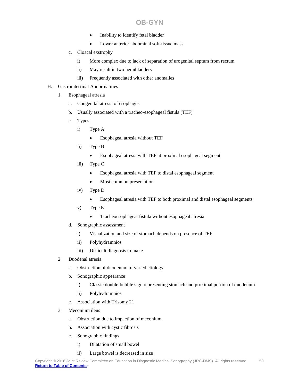- Inability to identify fetal bladder
- Lower anterior abdominal soft-tissue mass
- c. Cloacal exstrophy
	- i) More complex due to lack of separation of urogenital septum from rectum
	- ii) May result in two hemibladders
	- iii) Frequently associated with other anomalies
- H. Gastrointestinal Abnormalities
	- 1. Esophageal atresia
		- a. Congenital atresia of esophagus
		- b. Usually associated with a tracheo-esophageal fistula (TEF)
		- c. Types
			- i) Type A
				- Esophageal atresia without TEF
			- ii) Type B
				- Esophageal atresia with TEF at proximal esophageal segment
			- iii) Type C
				- Esophageal atresia with TEF to distal esophageal segment
				- Most common presentation
			- iv) Type D
				- Esophageal atresia with TEF to both proximal and distal esophageal segments
			- v) Type E
				- Tracheoesophageal fistula without esophageal atresia
		- d. Sonographic assessment
			- i) Visualization and size of stomach depends on presence of TEF
			- ii) Polyhydramnios
			- iii) Difficult diagnosis to make
	- 2. Duodenal atresia
		- a. Obstruction of duodenum of varied etiology
		- b. Sonographic appearance
			- i) Classic double-bubble sign representing stomach and proximal portion of duodenum
			- ii) Polyhydramnios
		- c. Association with Trisomy 21
	- 3. Meconium ileus
		- a. Obstruction due to impaction of meconium
		- b. Association with cystic fibrosis
		- c. Sonographic findings
			- i) Dilatation of small bowel
			- ii) Large bowel is decreased in size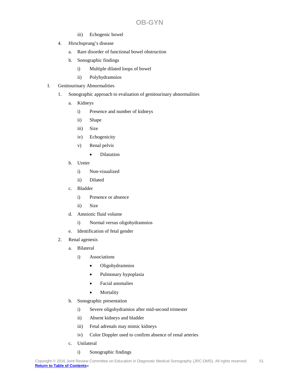- iii) Echogenic bowel
- 4. Hirschsprung's disease
	- a. Rare disorder of functional bowel obstruction
	- b. Sonographic findings
		- i) Multiple dilated loops of bowel
		- ii) Polyhydramnios
- I. Genitourinary Abnormalities
	- 1. Sonographic approach to evaluation of genitourinary abnormalities
		- a. Kidneys
			- i) Presence and number of kidneys
			- ii) Shape
			- iii) Size
			- iv) Echogenicity
			- v) Renal pelvis
				- Dilatation
		- b. Ureter
			- i) Non-visualized
			- ii) Dilated
		- c. Bladder
			- i) Presence or absence
			- ii) Size
		- d. Amniotic fluid volume
			- i) Normal versus oligohydramnios
		- e. Identification of fetal gender
	- 2. Renal agenesis
		- a. Bilateral
			- i) Associations
				- Oligohydramnios
				- Pulmonary hypoplasia
				- Facial anomalies
				- Mortality
		- b. Sonographic presentation
			- i) Severe oligohydramios after mid-second trimester
			- ii) Absent kidneys and bladder
			- iii) Fetal adrenals may mimic kidneys
			- iv) Color Doppler used to confirm absence of renal arteries
		- c. Unilateral
			- i) Sonographic findings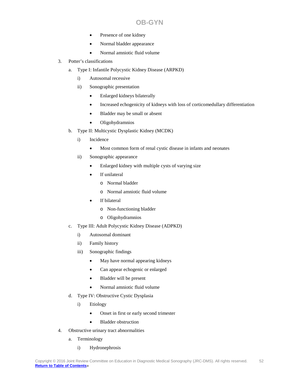- Presence of one kidney
- Normal bladder appearance
- Normal amniotic fluid volume
- 3. Potter's classifications
	- a. Type I: Infantile Polycystic Kidney Disease (ARPKD)
		- i) Autosomal recessive
		- ii) Sonographic presentation
			- Enlarged kidneys bilaterally
			- Increased echogenicity of kidneys with loss of corticomedullary differentiation
			- Bladder may be small or absent
			- Oligohydramnios
	- b. Type II: Multicystic Dysplastic Kidney (MCDK)
		- i) Incidence
			- Most common form of renal cystic disease in infants and neonates
		- ii) Sonographic appearance
			- Enlarged kidney with multiple cysts of varying size
			- If unilateral
				- o Normal bladder
				- o Normal amniotic fluid volume
			- If bilateral
				- o Non-functioning bladder
				- o Oligohydramnios
	- c. Type III: Adult Polycystic Kidney Disease (ADPKD)
		- i) Autosomal dominant
		- ii) Family history
		- iii) Sonographic findings
			- May have normal appearing kidneys
			- Can appear echogenic or enlarged
			- Bladder will be present
			- Normal amniotic fluid volume
	- d. Type IV: Obstructive Cystic Dysplasia
		- i) Etiology
			- Onset in first or early second trimester
			- Bladder obstruction
- 4. Obstructive urinary tract abnormalities
	- a. Terminology
		- i) Hydronephrosis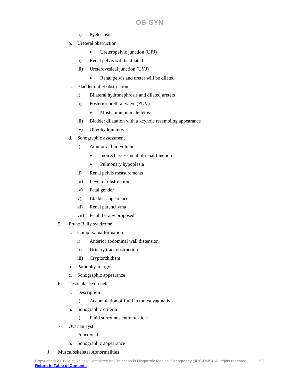- ii) Pyelectasis
- b. Ureteral obstruction
	- Ureteropelvic junction (UPJ)
	- ii) Renal pelvis will be dilated
	- iii) Ureterovesical junction (UVJ)
		- Renal pelvis and ureter will be dilated
- c. Bladder outlet obstruction
	- i) Bilateral hydronephrosis and dilated ureters
	- ii) Posterior urethral valve (PUV)
		- Most common male fetus
	- iii) Bladder dilatation with a keyhole resembling appearance
	- iv) Oligohydramnios
- d. Sonographic assessment
	- i) Amniotic fluid volume
		- Indirect assessment of renal function
		- Pulmonary hypoplasia
	- ii) Renal pelvis measurements
	- iii) Level of obstruction
	- iv) Fetal gender
	- v) Bladder appearance
	- vi) Renal parenchyma
	- vii) Fetal therapy proposed
- 5. Prune Belly syndrome
	- a. Complex malformation
		- i) Anterior abdominal wall distension
		- ii) Urinary tract obstruction
		- iii) Cryptorchidism
	- b. Pathophysiology
	- c. Sonographic appearance
- 6. Testicular hydrocele
	- a. Description
		- i) Accumulation of fluid in tunica vaginalis
	- b. Sonographic criteria
		- i) Fluid surrounds entire testicle
- 7. Ovarian cyst
	- a. Functional
	- b. Sonographic appearance
- J. Musculoskeletal Abnormalities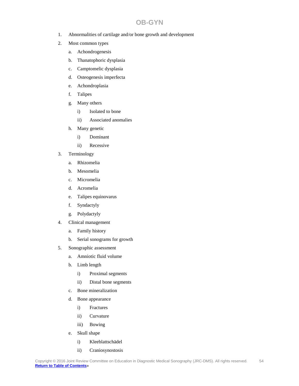- 1. Abnormalities of cartilage and/or bone growth and development
- 2. Most common types
	- a. Achondrogenesis
	- b. Thanatophoric dysplasia
	- c. Camptomelic dysplasia
	- d. Osteogenesis imperfecta
	- e. Achondroplasia
	- f. Talipes
	- g. Many others
		- i) Isolated to bone
		- ii) Associated anomalies
	- h. Many genetic
		- i) Dominant
		- ii) Recessive
- 3. Terminology
	- a. Rhizomelia
	- b. Mesomelia
	- c. Micromelia
	- d. Acromelia
	- e. Talipes equinovarus
	- f. Syndactyly
	- g. Polydactyly
- 4. Clinical management
	- a. Family history
	- b. Serial sonograms for growth
- 5. Sonographic assessment
	- a. Amniotic fluid volume
	- b. Limb length
		- i) Proximal segments
		- ii) Distal bone segments
	- c. Bone mineralization
	- d. Bone appearance
		- i) Fractures
		- ii) Curvature
		- iii) Bowing
	- e. Skull shape
		- i) Kleeblattschädel
		- ii) Craniosynostosis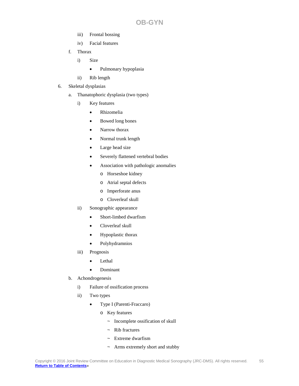- iii) Frontal bossing
- iv) Facial features
- f. Thorax
	- i) Size
		- Pulmonary hypoplasia
	- ii) Rib length
- 6. Skeletal dysplasias
	- a. Thanatophoric dysplasia (two types)
		- i) Key features
			- Rhizomelia
			- Bowed long bones
			- Narrow thorax
			- Normal trunk length
			- Large head size
			- Severely flattened vertebral bodies
			- Association with pathologic anomalies
				- o Horseshoe kidney
				- o Atrial septal defects
				- o Imperforate anus
				- o Cloverleaf skull
		- ii) Sonographic appearance
			- Short-limbed dwarfism
			- Cloverleaf skull
			- Hypoplastic thorax
			- Polyhydramnios
		- iii) Prognosis
			- Lethal
			- Dominant
	- b. Achondrogenesis
		- i) Failure of ossification process
		- ii) Two types
			- Type I (Parenti-Fraccaro)
				- o Key features
					- ~ Incomplete ossification of skull
					- $\sim$  Rib fractures
					- ~ Extreme dwarfism
					- ~ Arms extremely short and stubby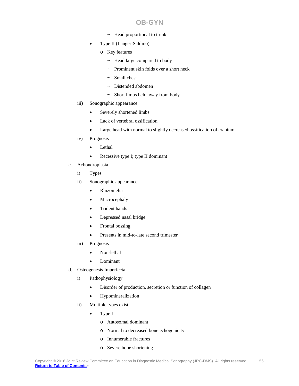- ~ Head proportional to trunk
- Type II (Langer-Saldino)
	- o Key features
		- ~ Head large compared to body
		- ~ Prominent skin folds over a short neck
		- $\sim$  Small chest
		- ~ Distended abdomen
		- ~ Short limbs held away from body
- iii) Sonographic appearance
	- Severely shortened limbs
	- Lack of vertebral ossification
	- Large head with normal to slightly decreased ossification of cranium
- iv) Prognosis
	- Lethal
	- Recessive type I; type II dominant
- c. Achondroplasia
	- i) Types
	- ii) Sonographic appearance
		- Rhizomelia
		- **Macrocephaly**
		- Trident hands
		- Depressed nasal bridge
		- Frontal bossing
		- Presents in mid-to-late second trimester
	- iii) Prognosis
		- Non-lethal
		- Dominant
- d. Osteogenesis Imperfecta
	- i) Pathophysiology
		- Disorder of production, secretion or function of collagen
		- Hypomineralization
	- ii) Multiple types exist
		- Type I
			- o Autosomal dominant
			- o Normal to decreased bone echogenicity
			- o Innumerable fractures
			- o Severe bone shortening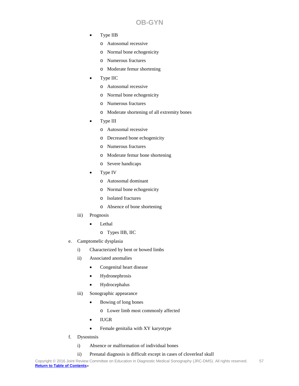- Type IIB
	- o Autosomal recessive
	- o Normal bone echogenicity
	- o Numerous fractures
	- o Moderate femur shortening
- Type IIC
	- o Autosomal recessive
	- o Normal bone echogenicity
	- o Numerous fractures
	- o Moderate shortening of all extremity bones
- Type III
	- o Autosomal recessive
	- o Decreased bone echogenicity
	- o Numerous fractures
	- o Moderate femur bone shortening
	- o Severe handicaps
- Type IV
	- o Autosomal dominant
	- o Normal bone echogenicity
	- o Isolated fractures
	- o Absence of bone shortening
- iii) Prognosis
	- Lethal
		- o Types IIB, IIC
- e. Camptomelic dysplasia
	- i) Characterized by bent or bowed limbs
	- ii) Associated anomalies
		- Congenital heart disease
		- Hydronephrosis
		- Hydrocephalus
	- iii) Sonographic appearance
		- Bowing of long bones
			- o Lower limb most commonly affected
		- IUGR
		- Female genitalia with XY karyotype
- f. Dysostosis
	- i) Absence or malformation of individual bones
	- ii) Prenatal diagnosis is difficult except in cases of cloverleaf skull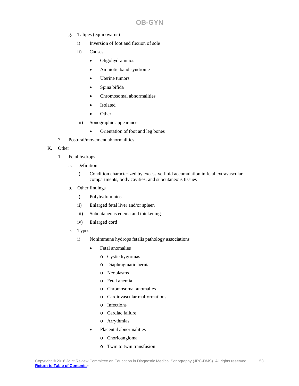- g. Talipes (equinovarus)
	- i) Inversion of foot and flexion of sole
	- ii) Causes
		- Oligohydramnios
		- Amniotic band syndrome
		- Uterine tumors
		- Spina bifida
		- Chromosomal abnormalities
		- Isolated
		- Other
	- iii) Sonographic appearance
		- Orientation of foot and leg bones
- 7. Postural/movement abnormalities

#### K. Other

- 1. Fetal hydrops
	- a. Definition
		- i) Condition characterized by excessive fluid accumulation in fetal extravascular compartments, body cavities, and subcutaneous tissues
	- b. Other findings
		- i) Polyhydramnios
		- ii) Enlarged fetal liver and/or spleen
		- iii) Subcutaneous edema and thickening
		- iv) Enlarged cord
	- c. Types
		- i) Nonimmune hydrops fetalis pathology associations
			- Fetal anomalies
				- o Cystic hygromas
				- o Diaphragmatic hernia
				- o Neoplasms
				- o Fetal anemia
				- o Chromosomal anomalies
				- o Cardiovascular malformations
				- o Infections
				- o Cardiac failure
				- o Arrythmias
			- Placental abnormalities
				- o Chorioangioma
				- o Twin to twin transfusion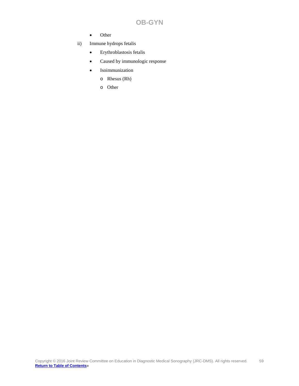- Other
- ii) Immune hydrops fetalis
	- Erythroblastosis fetalis
	- Caused by immunologic response
	- **Isoimmunization** 
		- o Rhesus (Rh)
		- o Other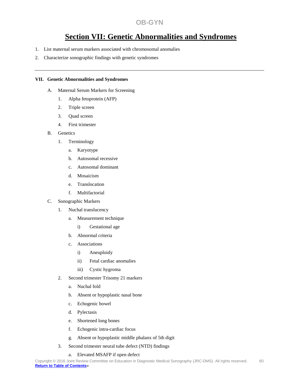# **Section VII: Genetic Abnormalities and Syndromes**

- 1. List maternal serum markers associated with chromosomal anomalies
- 2. Characterize sonographic findings with genetic syndromes

#### **VII. Genetic Abnormalities and Syndromes**

- A. Maternal Serum Markers for Screening
	- 1. Alpha fetoprotein (AFP)
	- 2. Triple screen
	- 3. Quad screen
	- 4. First trimester
- B. Genetics
	- 1. Terminology
		- a. Karyotype
		- b. Autosomal recessive
		- c. Autosomal dominant
		- d. Mosaicism
		- e. Translocation
		- f. Multifactorial
- C. Sonographic Markers
	- 1. Nuchal translucency
		- a. Measurement technique
			- i) Gestational age
		- b. Abnormal criteria
		- c. Associations
			- i) Aneuploidy
			- ii) Fetal cardiac anomalies
			- iii) Cystic hygroma
	- 2. Second trimester Trisomy 21 markers
		- a. Nuchal fold
		- b. Absent or hypoplastic nasal bone
		- c. Echogenic bowel
		- d. Pylectasis
		- e. Shortened long bones
		- f. Echogenic intra-cardiac focus
		- g. Absent or hypoplastic middle phalanx of 5th digit
	- 3. Second trimester neural tube defect (NTD) findings
		- a. Elevated MSAFP if open defect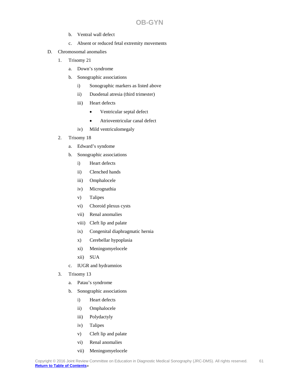- b. Ventral wall defect
- c. Absent or reduced fetal extremity movements
- D. Chromosomal anomalies
	- 1. Trisomy 21
		- a. Down's syndrome
		- b. Sonographic associations
			- i) Sonographic markers as listed above
			- ii) Duodenal atresia (third trimester)
			- iii) Heart defects
				- Ventricular septal defect
				- Atrioventricular canal defect
			- iv) Mild ventriculomegaly
	- 2. Trisomy 18
		- a. Edward's syndome
		- b. Sonographic associations
			- i) Heart defects
			- ii) Clenched hands
			- iii) Omphalocele
			- iv) Micrognathia
			- v) Talipes
			- vi) Choroid plexus cysts
			- vii) Renal anomalies
			- viii) Cleft lip and palate
			- ix) Congenital diaphragmatic hernia
			- x) Cerebellar hypoplasia
			- xi) Meningomyelocele
			- xii) SUA
		- c. IUGR and hydramnios
	- 3. Trisomy 13
		- a. Patau's syndrome
		- b. Sonographic associations
			- i) Heart defects
			- ii) Omphalocele
			- iii) Polydactyly
			- iv) Talipes
			- v) Cleft lip and palate
			- vi) Renal anomalies
			- vii) Meningomyelocele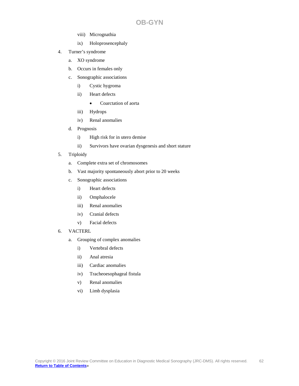- viii) Micrognathia
- ix) Holoprosencephaly
- 4. Turner's syndrome
	- a. XO syndrome
	- b. Occurs in females only
	- c. Sonographic associations
		- i) Cystic hygroma
		- ii) Heart defects
			- Coarctation of aorta
		- iii) Hydrops
		- iv) Renal anomalies
	- d. Prognosis
		- i) High risk for in utero demise
		- ii) Survivors have ovarian dysgenesis and short stature
- 5. Triploidy
	- a. Complete extra set of chromosomes
	- b. Vast majority spontaneously abort prior to 20 weeks
	- c. Sonographic associations
		- i) Heart defects
		- ii) Omphalocele
		- iii) Renal anomalies
		- iv) Cranial defects
		- v) Facial defects
- 6. VACTERL
	- a. Grouping of complex anomalies
		- i) Vertebral defects
		- ii) Anal atresia
		- iii) Cardiac anomalies
		- iv) Tracheoesophageal fistula
		- v) Renal anomalies
		- vi) Limb dysplasia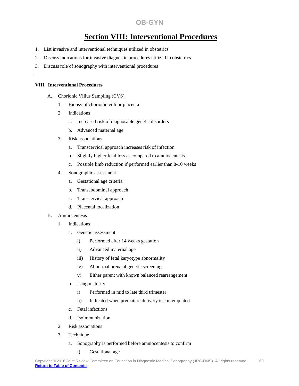# **Section VIII: Interventional Procedures**

- 1. List invasive and interventional techniques utilized in obstetrics
- 2. Discuss indications for invasive diagnostic procedures utilized in obstetrics
- 3. Discuss role of sonography with interventional procedures

#### **VIII. Interventional Procedures**

- A. Chorionic Villus Sampling (CVS)
	- 1. Biopsy of chorionic villi or placenta
	- 2. Indications
		- a. Increased risk of diagnosable genetic disorders
		- b. Advanced maternal age
	- 3. Risk associations
		- a. Transcervical approach increases risk of infection
		- b. Slightly higher fetal loss as compared to amniocentesis
		- c. Possible limb reduction if performed earlier than 8-10 weeks
	- 4. Sonographic assessment
		- a. Gestational age criteria
		- b. Transabdominal approach
		- c. Transcervical approach
		- d. Placental localization

#### B. Amniocentesis

- 1. Indications
	- a. Genetic assessment
		- i) Performed after 14 weeks gestation
		- ii) Advanced maternal age
		- iii) History of fetal karyotype abnormality
		- iv) Abnormal prenatal genetic screening
		- v) Either parent with known balanced rearrangement
	- b. Lung maturity
		- i) Performed in mid to late third trimester
		- ii) Indicated when premature delivery is contemplated
	- c. Fetal infections
	- d. Isoimmunization
- 2. Risk associations
- 3. Technique
	- a. Sonography is performed before amniocentesis to confirm
		- i) Gestational age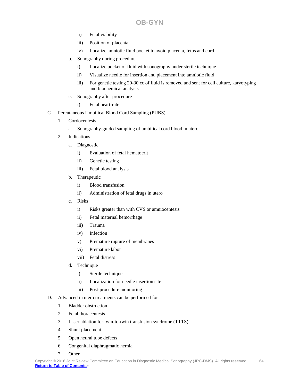- ii) Fetal viability
- iii) Position of placenta
- iv) Localize amniotic fluid pocket to avoid placenta, fetus and cord
- b. Sonography during procedure
	- i) Localize pocket of fluid with sonography under sterile technique
	- ii) Visualize needle for insertion and placement into amniotic fluid
	- iii) For genetic testing 20-30 cc of fluid is removed and sent for cell culture, karyotyping and biochemical analysis
- c. Sonography after procedure
	- i) Fetal heart-rate
- C. Percutaneous Umbilical Blood Cord Sampling (PUBS)
	- 1. Cordocentesis
		- a. Sonography-guided sampling of umbilical cord blood in utero
	- 2. Indications
		- a. Diagnostic
			- i) Evaluation of fetal hematocrit
			- ii) Genetic testing
			- iii) Fetal blood analysis
		- b. Therapeutic
			- i) Blood transfusion
			- ii) Administration of fetal drugs in utero
		- c. Risks
			- i) Risks greater than with CVS or amniocentesis
			- ii) Fetal maternal hemorrhage
			- iii) Trauma
			- iv) Infection
			- v) Premature rupture of membranes
			- vi) Premature labor
			- vii) Fetal distress
		- d. Technique
			- i) Sterile technique
			- ii) Localization for needle insertion site
			- iii) Post-procedure monitoring
- D. Advanced in utero treatments can be performed for
	- 1. Bladder obstruction
	- 2. Fetal thoracentesis
	- 3. Laser ablation for twin-to-twin transfusion syndrome (TTTS)
	- 4. Shunt placement
	- 5. Open neural tube defects
	- 6. Congenital diaphragmatic hernia
	- 7. Other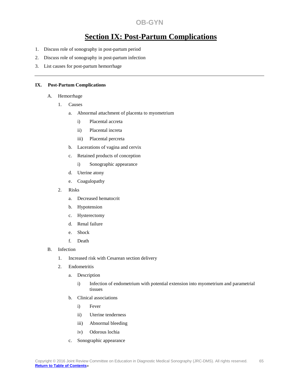# **Section IX: Post-Partum Complications**

- 1. Discuss role of sonography in post-partum period
- 2. Discuss role of sonography in post-partum infection
- 3. List causes for post-partum hemorrhage

#### **IX. Post-Partum Complications**

#### A. Hemorrhage

- 1. Causes
	- a. Abnormal attachment of placenta to myometrium
		- i) Placental accreta
		- ii) Placental increta
		- iii) Placental percreta
	- b. Lacerations of vagina and cervix
	- c. Retained products of conception
		- i) Sonographic appearance
	- d. Uterine atony
	- e. Coagulopathy
- 2. Risks
	- a. Decreased hematocrit
	- b. Hypotension
	- c. Hysterectomy
	- d. Renal failure
	- e. Shock
	- f. Death
- B. Infection
	- 1. Increased risk with Cesarean section delivery
	- 2. Endometritis
		- a. Description
			- i) Infection of endometrium with potential extension into myometrium and parametrial tissues
		- b. Clinical associations
			- i) Fever
			- ii) Uterine tenderness
			- iii) Abnormal bleeding
			- iv) Odorous lochia
		- c. Sonographic appearance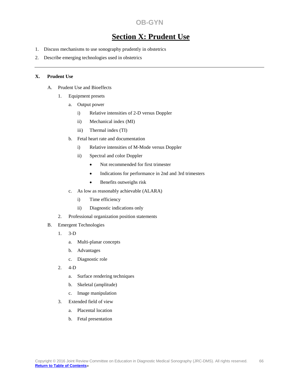# **Section X: Prudent Use**

- 1. Discuss mechanisms to use sonography prudently in obstetrics
- 2. Describe emerging technologies used in obstetrics

#### **X. Prudent Use**

- A. Prudent Use and Bioeffects
	- 1. Equipment presets
		- a. Output power
			- i) Relative intensities of 2-D versus Doppler
			- ii) Mechanical index (MI)
			- iii) Thermal index (TI)
		- b. Fetal heart rate and documentation
			- i) Relative intensities of M-Mode versus Doppler
			- ii) Spectral and color Doppler
				- Not recommended for first trimester
				- Indications for performance in 2nd and 3rd trimesters
				- Benefits outweighs risk
		- c. As low as reasonably achievable (ALARA)
			- i) Time efficiency
			- ii) Diagnostic indications only
	- 2. Professional organization position statements
- B. Emergent Technologies
	- 1. 3-D
		- a. Multi-planar concepts
		- b. Advantages
		- c. Diagnostic role
	- 2. 4-D
		- a. Surface rendering techniques
		- b. Skeletal (amplitude)
		- c. Image manipulation
	- 3. Extended field of view
		- a. Placental location
		- b. Fetal presentation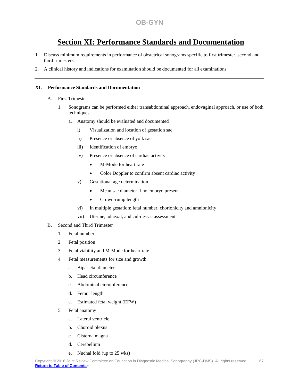# **Section XI: Performance Standards and Documentation**

- 1. Discuss minimum requirements in performance of obstetrical sonograms specific to first trimester, second and third trimesters
- 2. A clinical history and indications for examination should be documented for all examinations

#### **XI. Performance Standards and Documentation**

- A. First Trimester
	- 1. Sonograms can be performed either transabdominal approach, endovaginal approach, or use of both techniques
		- a. Anatomy should be evaluated and documented
			- i) Visualization and location of gestation sac
			- ii) Presence or absence of yolk sac
			- iii) Identification of embryo
			- iv) Presence or absence of cardiac activity
				- M-Mode for heart rate
				- Color Doppler to confirm absent cardiac activity
			- v) Gestational age determination
				- Mean sac diameter if no embryo present
				- Crown-rump length
			- vi) In multiple gestation: fetal number, chorionicity and amnionicity
			- vii) Uterine, adnexal, and cul-de-sac assessment
- B. Second and Third Trimester
	- 1. Fetal number
	- 2. Fetal position
	- 3. Fetal viability and M-Mode for heart rate
	- 4. Fetal measurements for size and growth
		- a. Biparietal diameter
		- b. Head circumference
		- c. Abdominal circumference
		- d. Femur length
		- e. Estimated fetal weight (EFW)
	- 5. Fetal anatomy
		- a. Lateral ventricle
		- b. Choroid plexus
		- c. Cisterna magna
		- d. Cerebellum
		- e. Nuchal fold (up to 25 wks)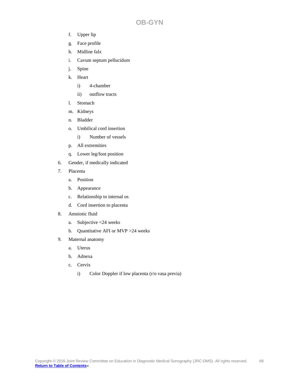- f. Upper lip
- g. Face profile
- h. Midline falx
- i. Cavum septum pellucidum
- j. Spine
- k. Heart
	- i) 4-chamber
	- ii) outflow tracts
- l. Stomach
- m. Kidneys
- n. Bladder
- o. Umbilical cord insertion
	- i) Number of vessels
- p. All extremities
- q. Lower leg/foot position
- 6. Gender, if medically indicated
- 7. Placenta
	- a. Position
	- b. Appearance
	- c. Relationship to internal os
	- d. Cord insertion to placenta
- 8. Amniotic fluid
	- a. Subjective <24 weeks
	- b. Quantitative AFI or MVP >24 weeks
- 9. Maternal anatomy
	- a. Uterus
	- b. Adnexa
	- c. Cervix
		- i) Color Doppler if low placenta (r/o vasa previa)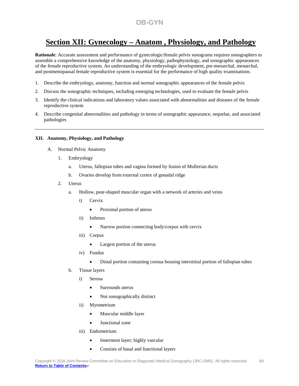# **Section XII: Gynecology – Anatom , Physiology, and Pathology**

**Rationale**: Accurate assessment and performance of gynecologic/female pelvis sonograms requires sonographers to assemble a comprehensive knowledge of the anatomy, physiology, pathophysiology, and sonographic appearances of the female reproductive system. An understanding of the embryologic development, pre-menarchal, menarchal, and postmenopausal female reproductive system is essential for the performance of high quality examinations.

- 1. Describe the embryology, anatomy, function and normal sonographic appearances of the female pelvis
- 2. Discuss the sonographic techniques, including emerging technologies, used to evaluate the female pelvis
- 3. Identify the clinical indications and laboratory values associated with abnormalities and diseases of the female reproductive system
- 4. Describe congenital abnormalities and pathology in terms of sonographic appearance, sequelae, and associated pathologies

#### **XII. Anatomy, Physiology, and Pathology**

- A. Normal Pelvic Anatomy
	- 1. Embryology
		- a. Uterus, fallopian tubes and vagina formed by fusion of Mullerian ducts
		- b. Ovaries develop from external cortex of gonadal ridge
	- 2. Uterus
		- a. Hollow, pear-shaped muscular organ with a network of arteries and veins
			- i) Cervix
				- Proximal portion of uterus
			- ii) Isthmus
				- Narrow portion connecting body/corpus with cervix
			- iii) Corpus
				- Largest portion of the uterus
			- iv) Fundus
				- Distal portion containing cornua housing interstitial portion of fallopian tubes
		- b. Tissue layers
			- i) Serosa
				- Surrounds uterus
				- Not sonographically distinct
			- ii) Myometrium
				- Muscular middle layer
				- Junctional zone
			- iii) Endometrium
				- Innermost layer; highly vascular
				- Consists of basal and functional layers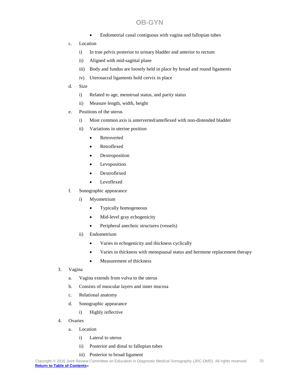- Endometrial canal contiguous with vagina and fallopian tubes
- c. Location
	- i) In true pelvis posterior to urinary bladder and anterior to rectum
	- ii) Aligned with mid-sagittal plane
	- iii) Body and fundus are loosely held in place by broad and round ligaments
	- iv) Uterosacral ligaments hold cervix in place
- d. Size
	- i) Related to age, menstrual status, and parity status
	- ii) Measure length, width, height
- e. Positions of the uterus
	- i) Most common axis is anterverted/anteflexed with non-distended bladder
	- ii) Variations in uterine position
		- Retroverted
		- Retroflexed
		- **Dextroposition**
		- Levoposition
		- Dextroflexed
		- Levoflexed
- f. Sonographic appearance
	- i) Myometrium
		- Typically homogeneous
		- Mid-level gray echogenicity
		- Peripheral anechoic structures (vessels)
	- ii) Endometrium
		- Varies in echogenicity and thickness cyclically
		- Varies in thickness with menopausal status and hormone replacement therapy
		- Measurement of thickness
- 3. Vagina
	- a. Vagina extends from vulva to the uterus
	- b. Consists of muscular layers and inner mucosa
	- c. Relational anatomy
	- d. Sonographic appearance
		- i) Highly reflective
- 4. Ovaries
	- a. Location
		- i) Lateral to uterus
		- ii) Posterior and distal to fallopian tubes
		- iii) Posterior to broad ligament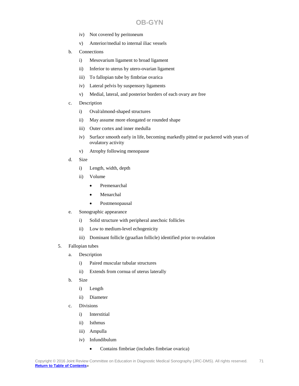- iv) Not covered by peritoneum
- v) Anterior/medial to internal iliac vessels
- b. Connections
	- i) Mesovarium ligament to broad ligament
	- ii) Inferior to uterus by utero-ovarian ligament
	- iii) To fallopian tube by fimbriae ovarica
	- iv) Lateral pelvis by suspensory ligaments
	- v) Medial, lateral, and posterior borders of each ovary are free
- c. Description
	- i) Oval/almond-shaped structures
	- ii) May assume more elongated or rounded shape
	- iii) Outer cortex and inner medulla
	- iv) Surface smooth early in life, becoming markedly pitted or puckered with years of ovulatory activity
	- v) Atrophy following menopause
- d. Size
	- i) Length, width, depth
	- ii) Volume
		- Premenarchal
		- Menarchal
		- Postmenopausal
- e. Sonographic appearance
	- i) Solid structure with peripheral anechoic follicles
	- ii) Low to medium-level echogenicity
	- iii) Dominant follicle (graafian follicle) identified prior to ovulation
- 5. Fallopian tubes
	- a. Description
		- i) Paired muscular tubular structures
		- ii) Extends from cornua of uterus laterally
	- b. Size
		- i) Length
		- ii) Diameter
	- c. Divisions
		- i) Interstitial
		- ii) Isthmus
		- iii) Ampulla
		- iv) Infundibulum
			- Contains fimbriae (includes fimbriae ovarica)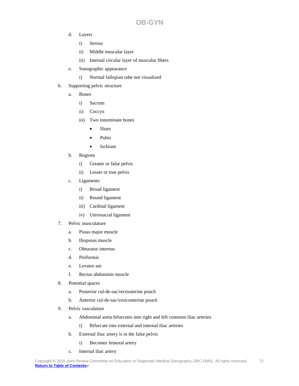- d. Layers
	- i) Serosa
	- ii) Middle muscular layer
	- iii) Internal circular layer of muscular fibers
- e. Sonographic appearance
	- i) Normal fallopian tube not visualized
- 6. Supporting pelvic structure
	- a. Bones
		- i) Sacrum
		- ii) Coccyx
		- iii) Two innominate bones
			- Ilium
			- Pubis
			- Ischium
	- b. Regions
		- i) Greater or false pelvis
		- ii) Lesser or true pelvis
	- c. Ligaments
		- i) Broad ligament
		- ii) Round ligament
		- iii) Cardinal ligament
		- iv) Uterosacral ligament
- 7. Pelvic musculature
	- a. Psoas major muscle
	- b. Iliopsoas muscle
	- c. Obturator internus
	- d. Piriformis
	- e. Levator ani
	- f. Rectus abdominis muscle
- 8. Potential spaces
	- a. Posterior cul-de-sac/rectouterine pouch
	- b. Anterior cul-de-sac/vesicouterine pouch
- 9. Pelvic vasculature
	- a. Abdominal aorta bifurcates into right and left common iliac arteries
		- i) Bifurcate into external and internal iliac arteries
	- b. External iliac artery is in the false pelvis
		- i) Becomes femoral artery
	- c. Internal iliac artery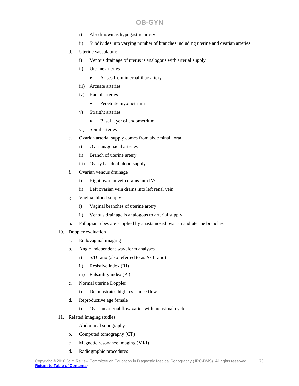- i) Also known as hypogastric artery
- ii) Subdivides into varying number of branches including uterine and ovarian arteries
- d. Uterine vasculature
	- i) Venous drainage of uterus is analogous with arterial supply
	- ii) Uterine arteries
		- Arises from internal iliac artery
	- iii) Arcuate arteries
	- iv) Radial arteries
		- Penetrate myometrium
	- v) Straight arteries
		- Basal layer of endometrium
	- vi) Spiral arteries
- e. Ovarian arterial supply comes from abdominal aorta
	- i) Ovarian/gonadal arteries
	- ii) Branch of uterine artery
	- iii) Ovary has dual blood supply
- f. Ovarian venous drainage
	- i) Right ovarian vein drains into IVC
	- ii) Left ovarian vein drains into left renal vein
- g. Vaginal blood supply
	- i) Vaginal branches of uterine artery
	- ii) Venous drainage is analogous to arterial supply
- h. Fallopian tubes are supplied by anastamosed ovarian and uterine branches
- 10. Doppler evaluation
	- a. Endovaginal imaging
	- b. Angle independent waveform analyses
		- i) S/D ratio (also referred to as A/B ratio)
		- ii) Resistive index (RI)
		- iii) Pulsatility index (PI)
	- c. Normal uterine Doppler
		- i) Demonstrates high resistance flow
	- d. Reproductive age female
		- i) Ovarian arterial flow varies with menstrual cycle
- 11. Related imaging studies
	- a. Abdominal sonography
	- b. Computed tomography (CT)
	- c. Magnetic resonance imaging (MRI)
	- d. Radiographic procedures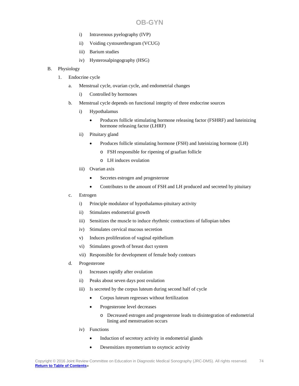- i) Intravenous pyelography (IVP)
- ii) Voiding cystourethrogram (VCUG)
- iii) Barium studies
- iv) Hysterosalpingography (HSG)
- B. Physiology
	- 1. Endocrine cycle
		- a. Menstrual cycle, ovarian cycle, and endometrial changes
			- i) Controlled by hormones
		- b. Menstrual cycle depends on functional integrity of three endocrine sources
			- i) Hypothalamus
				- Produces follicle stimulating hormone releasing factor (FSHRF) and luteinizing hormone releasing factor (LHRF)
			- ii) Pituitary gland
				- Produces follicle stimulating hormone (FSH) and luteinizing hormone (LH)
					- o FSH responsible for ripening of graafian follicle
					- o LH induces ovulation
			- iii) Ovarian axis
				- Secretes estrogen and progesterone
				- Contributes to the amount of FSH and LH produced and secreted by pituitary
		- c. Estrogen
			- i) Principle modulator of hypothalamus-pituitary activity
			- ii) Stimulates endometrial growth
			- iii) Sensitizes the muscle to induce rhythmic contractions of fallopian tubes
			- iv) Stimulates cervical mucous secretion
			- v) Induces proliferation of vaginal epithelium
			- vi) Stimulates growth of breast duct system
			- vii) Responsible for development of female body contours
		- d. Progesterone
			- i) Increases rapidly after ovulation
			- ii) Peaks about seven days post ovulation
			- iii) Is secreted by the corpus luteum during second half of cycle
				- Corpus luteum regresses without fertilization
				- Progesterone level decreases
					- o Decreased estrogen and progesterone leads to disintegration of endometrial lining and menstruation occurs
			- iv) Functions
				- Induction of secretory activity in endometrial glands
				- Desensitizes myometrium to oxytocic activity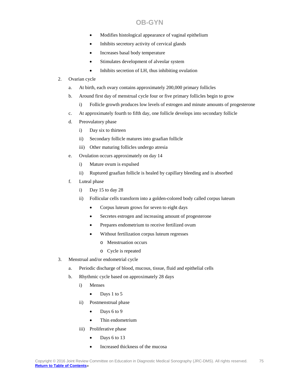- Modifies histological appearance of vaginal epithelium
- Inhibits secretory activity of cervical glands
- Increases basal body temperature
- Stimulates development of alveolar system
- Inhibits secretion of LH, thus inhibiting ovulation
- 2. Ovarian cycle
	- a. At birth, each ovary contains approximately 200,000 primary follicles
	- b. Around first day of menstrual cycle four or five primary follicles begin to grow
		- i) Follicle growth produces low levels of estrogen and minute amounts of progesterone
	- c. At approximately fourth to fifth day, one follicle develops into secondary follicle
	- d. Preovulatory phase
		- i) Day six to thirteen
		- ii) Secondary follicle matures into graafian follicle
		- iii) Other maturing follicles undergo atresia
	- e. Ovulation occurs approximately on day 14
		- i) Mature ovum is expulsed
		- ii) Ruptured graafian follicle is healed by capillary bleeding and is absorbed
	- f. Luteal phase
		- i) Day 15 to day 28
		- ii) Follicular cells transform into a golden-colored body called corpus luteum
			- Corpus luteum grows for seven to eight days
			- Secretes estrogen and increasing amount of progesterone
			- Prepares endometrium to receive fertilized ovum
			- Without fertilization corpus luteum regresses
				- o Menstruation occurs
				- o Cycle is repeated
- 3. Menstrual and/or endometrial cycle
	- a. Periodic discharge of blood, mucous, tissue, fluid and epithelial cells
	- b. Rhythmic cycle based on approximately 28 days
		- i) Menses
			- Days 1 to 5
		- ii) Postmenstrual phase
			- $\bullet$  Days 6 to 9
			- Thin endometrium
		- iii) Proliferative phase
			- Days 6 to 13
			- Increased thickness of the mucosa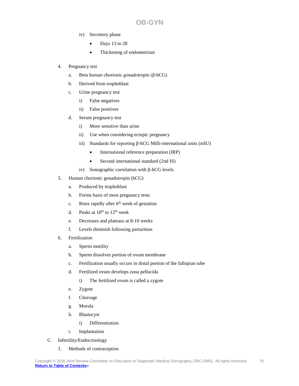- iv) Secretory phase
	- Days 13 to 28
	- Thickening of endometrium
- 4. Pregnancy test
	- a. Beta human chorionic gonadotropin (β-hCG)
	- b. Derived from trophoblast
	- c. Urine pregnancy test
		- i) False negatives
		- ii) False positives
	- d. Serum pregnancy test
		- i) More sensitive than urine
		- ii) Use when considering ectopic pregnancy
		- iii) Standards for reporting β-hCG Milli-international units (mIU)
			- International reference preparation (IRP)
			- Second international standard (2nd IS)
		- iv) Sonographic correlation with β-hCG levels
- 5. Human chorionic gonadotropin (hCG)
	- a. Produced by trophoblast
	- b. Forms basis of most pregnancy tests
	- c. Rises rapidly after  $6<sup>th</sup>$  week of gestation
	- d. Peaks at  $10^{th}$  to  $12^{th}$  week
	- e. Decreases and plateaus at 8-10 weeks
	- f. Levels diminish following parturition
- 6. Fertilization
	- a. Sperm motility
	- b. Sperm dissolves portion of ovum membrane
	- c. Fertilization usually occurs in distal portion of the fallopian tube
	- d. Fertilized ovum develops zona pellucida
		- i) The fertilized ovum is called a zygote
	- e. Zygote
	- f. Cleavage
	- g. Morula
	- h. Blastocyst
		- i) Differentiation
	- i. Implantation
- C. Infertility/Endocrinology
	- 1. Methods of contraception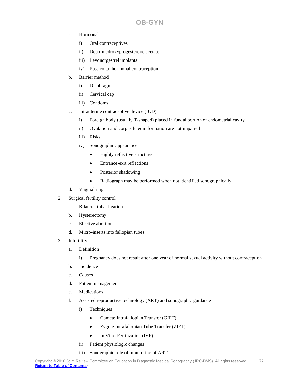- a. Hormonal
	- i) Oral contraceptives
	- ii) Depo-medroxyprogesterone acetate
	- iii) Levonorgestrel implants
	- iv) Post-coital hormonal contraception
- b. Barrier method
	- i) Diaphragm
	- ii) Cervical cap
	- iii) Condoms
- c. Intrauterine contraceptive device (IUD)
	- i) Foreign body (usually T-shaped) placed in fundal portion of endometrial cavity
	- ii) Ovulation and corpus luteum formation are not impaired
	- iii) Risks
	- iv) Sonographic appearance
		- Highly reflective structure
		- Entrance-exit reflections
		- Posterior shadowing
		- Radiograph may be performed when not identified sonographically
- d. Vaginal ring
- 2. Surgical fertility control
	- a. Bilateral tubal ligation
	- b. Hysterectomy
	- c. Elective abortion
	- d. Micro-inserts into fallopian tubes
- 3. Infertility
	- a. Definition
		- i) Pregnancy does not result after one year of normal sexual activity without contraception
	- b. Incidence
	- c. Causes
	- d. Patient management
	- e. Medications
	- f. Assisted reproductive technology (ART) and sonographic guidance
		- i) Techniques
			- Gamete Intrafallopian Transfer (GIFT)
			- Zygote Intrafallopian Tube Transfer (ZIFT)
			- In Vitro Fertilization (IVF)
		- ii) Patient physiologic changes
		- iii) Sonographic role of monitoring of ART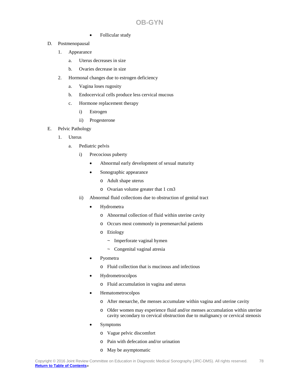- Follicular study
- D. Postmenopausal
	- 1. Appearance
		- a. Uterus decreases in size
		- b. Ovaries decrease in size
	- 2. Hormonal changes due to estrogen deficiency
		- a. Vagina loses rugosity
		- b. Endocervical cells produce less cervical mucous
		- c. Hormone replacement therapy
			- i) Estrogen
			- ii) Progesterone
- E. Pelvic Pathology
	- 1. Uterus
		- a. Pediatric pelvis
			- i) Precocious puberty
				- Abnormal early development of sexual maturity
				- Sonographic appearance
					- o Adult shape uterus
					- o Ovarian volume greater that 1 cm3
			- ii) Abnormal fluid collections due to obstruction of genital tract
				- Hydrometra
					- o Abnormal collection of fluid within uterine cavity
					- o Occurs most commonly in premenarchal patients
					- o Etiology
						- ~ Imperforate vaginal hymen
						- ~ Congenital vaginal atresia
				- Pyometra
					- o Fluid collection that is mucinous and infectious
				- Hydrometrocolpos
					- o Fluid accumulation in vagina and uterus
				- Hematometrocolpos
					- o After menarche, the menses accumulate within vagina and uterine cavity
					- o Older women may experience fluid and/or menses accumulation within uterine cavity secondary to cervical obstruction due to malignancy or cervical stenosis
				- Symptoms
					- o Vague pelvic discomfort
					- o Pain with defecation and/or urination
					- o May be asymptomatic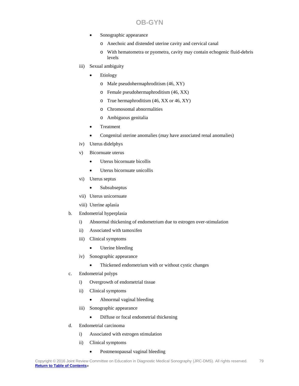- Sonographic appearance
	- o Anechoic and distended uterine cavity and cervical canal
	- o With hematometra or pyometra, cavity may contain echogenic fluid-debris levels
- iii) Sexual ambiguity
	- **Etiology** 
		- o Male pseudohermaphroditism (46, XY)
		- o Female pseudohermaphroditism (46, XX)
		- o True hermaphroditism (46, XX or 46, XY)
		- o Chromosomal abnormalities
		- o Ambiguous genitalia
	- Treatment
	- Congenital uterine anomalies (may have associated renal anomalies)
- iv) Uterus didelphys
- v) Bicornuate uterus
	- Uterus bicornuate bicollis
	- Uterus bicornuate unicollis
- vi) Uterus septus
	- Subsubseptus
- vii) Uterus unicornuate
- viii) Uterine aplasia
- b. Endometrial hyperplasia
	- i) Abnormal thickening of endometrium due to estrogen over-stimulation
	- ii) Associated with tamoxifen
	- iii) Clinical symptoms
		- Uterine bleeding
	- iv) Sonographic appearance
		- Thickened endometrium with or without cystic changes
- c. Endometrial polyps
	- i) Overgrowth of endometrial tissue
	- ii) Clinical symptoms
		- Abnormal vaginal bleeding
	- iii) Sonographic appearance
		- Diffuse or focal endometrial thickening
- d. Endometrial carcinoma
	- i) Associated with estrogen stimulation
	- ii) Clinical symptoms
		- Postmenopausal vaginal bleeding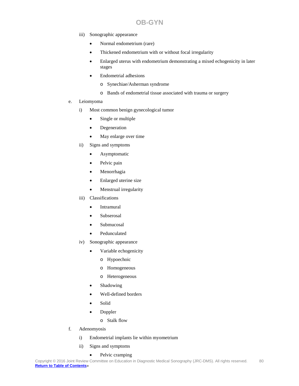- iii) Sonographic appearance
	- Normal endometrium (rare)
	- Thickened endometrium with or without focal irregularity
	- Enlarged uterus with endometrium demonstrating a mixed echogenicity in later stages
	- Endometrial adhesions
		- o Synechiae/Asherman syndrome
		- o Bands of endometrial tissue associated with trauma or surgery
- e. Leiomyoma
	- i) Most common benign gynecological tumor
		- Single or multiple
		- Degeneration
		- May enlarge over time
	- ii) Signs and symptoms
		- Asymptomatic
		- Pelvic pain
		- Menorrhagia
		- Enlarged uterine size
		- Menstrual irregularity
	- iii) Classifications
		- Intramural
		- Subserosal
		- Submucosal
		- Pedunculated
	- iv) Sonographic appearance
		- Variable echogenicity
			- o Hypoechoic
			- o Homogeneous
			- o Heterogeneous
		- **Shadowing**
		- Well-defined borders
		- Solid
		- Doppler
			- o Stalk flow
- f. Adenomyosis
	- i) Endometrial implants lie within myometrium
	- ii) Signs and symptoms
		- Pelvic cramping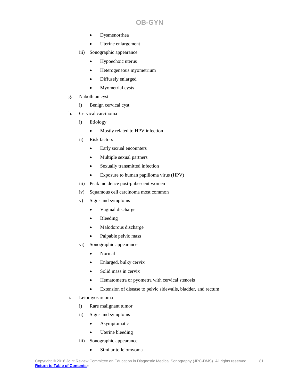- Dysmenorrhea
- Uterine enlargement
- iii) Sonographic appearance
	- Hypoechoic uterus
	- Heterogeneous myometrium
	- Diffusely enlarged
	- Myometrial cysts
- g. Nabothian cyst
	- i) Benign cervical cyst
- h. Cervical carcinoma
	- i) Etiology
		- Mostly related to HPV infection
	- ii) Risk factors
		- Early sexual encounters
		- Multiple sexual partners
		- Sexually transmitted infection
		- Exposure to human papilloma virus (HPV)
	- iii) Peak incidence post-pubescent women
	- iv) Squamous cell carcinoma most common
	- v) Signs and symptoms
		- Vaginal discharge
		- Bleeding
		- Malodorous discharge
		- Palpable pelvic mass
	- vi) Sonographic appearance
		- Normal
		- Enlarged, bulky cervix
		- Solid mass in cervix
		- Hematometra or pyometra with cervical stenosis
		- Extension of disease to pelvic sidewalls, bladder, and rectum
- i. Leiomyosarcoma
	- i) Rare malignant tumor
	- ii) Signs and symptoms
		- Asymptomatic
		- Uterine bleeding
	- iii) Sonographic appearance
		- Similar to leiomyoma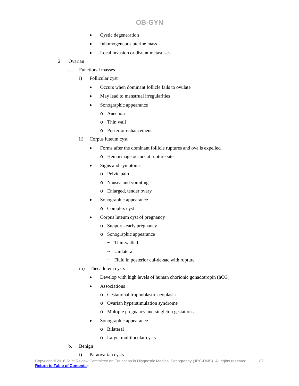- Cystic degeneration
- Inhomogeneous uterine mass
- Local invasion or distant metastases
- 2. Ovarian
	- a. Functional masses
		- i) Follicular cyst
			- Occurs when dominant follicle fails to ovulate
			- May lead to menstrual irregularities
			- Sonographic appearance
				- o Anechoic
				- o Thin wall
				- o Posterior enhancement
		- ii) Corpus luteum cyst
			- Forms after the dominant follicle ruptures and ova is expelled
				- o Hemorrhage occurs at rupture site
			- Signs and symptoms
				- o Pelvic pain
				- o Nausea and vomiting
				- o Enlarged, tender ovary
			- Sonographic appearance
				- o Complex cyst
			- Corpus luteum cyst of pregnancy
				- o Supports early pregnancy
				- o Sonographic appearance
					- ~ Thin-walled
					- ~ Unilateral
					- $\sim$  Fluid in posterior cul-de-sac with rupture
		- iii) Theca lutein cysts
			- Develop with high levels of human chorionic gonadotropin (hCG)
			- **Associations** 
				- o Gestational trophoblastic neoplasia
				- o Ovarian hyperstimulation syndrome
				- o Multiple pregnancy and singleton gestations
			- Sonographic appearance
				- o Bilateral
				- o Large, multilocular cysts
	- b. Benign
		- i) Paraovarian cysts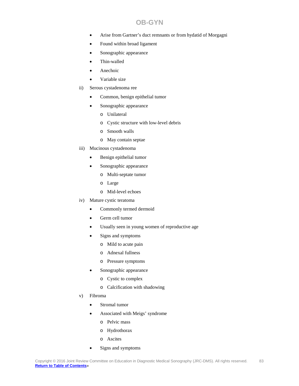- Arise from Gartner's duct remnants or from hydatid of Morgagni
- Found within broad ligament
- Sonographic appearance
- Thin-walled
- **Anechoic**
- Variable size
- ii) Serous cystadenoma ree
	- Common, benign epithelial tumor
	- Sonographic appearance
		- o Unilateral
		- o Cystic structure with low-level debris
		- o Smooth walls
		- o May contain septae
- iii) Mucinous cystadenoma
	- Benign epithelial tumor
	- Sonographic appearance
		- o Multi-septate tumor
		- o Large
		- o Mid-level echoes
- iv) Mature cystic teratoma
	- Commonly termed dermoid
	- Germ cell tumor
	- Usually seen in young women of reproductive age
	- Signs and symptoms
		- o Mild to acute pain
		- o Adnexal fullness
		- o Pressure symptoms
	- Sonographic appearance
		- o Cystic to complex
		- o Calcification with shadowing
- v) Fibroma
	- Stromal tumor
	- Associated with Meigs' syndrome
		- o Pelvic mass
		- o Hydrothorax
		- o Ascites
	- Signs and symptoms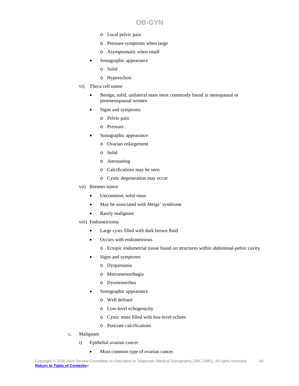- o Local pelvic pain
- o Pressure symptoms when large
- o Asymptomatic when small
- Sonographic appearance
	- o Solid
	- o Hyperechoic
- vi) Theca cell tumor
	- Benign, solid, unilateral mass most commonly found in menopausal or postmenopausal women
	- Signs and symptoms
		- o Pelvic pain
		- o Pressure
	- Sonographic appearance
		- o Ovarian enlargement
		- o Solid
		- o Attenuating
		- o Calcifications may be seen
		- o Cystic degeneration may occur
- vii) Brenner tumor
	- Uncommon, solid mass
	- May be associated with Meigs' syndrome
	- Rarely malignant
- viii) Endometrioma
	- Large cysts filled with dark brown fluid
	- Occurs with endometriosis
		- o Ectopic endometrial tissue found on structures within abdominal-pelvic cavity
	- Signs and symptoms
		- o Dyspareunia
		- o Metromenorrhagia
		- o Dysmenorrhea
	- Sonographic appearance
		- o Well defined
		- o Low-level echogenicity
		- o Cystic mass filled with low-level echoes
		- o Punctate calcifications
- c. Malignant
	- i) Epithelial ovarian cancer
		- Most common type of ovarian cancer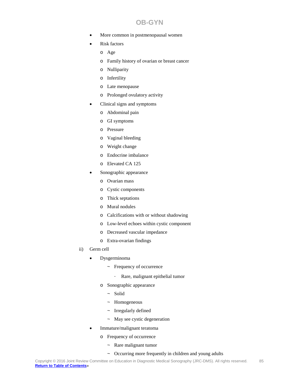- More common in postmenopausal women
- Risk factors
	- o Age
	- o Family history of ovarian or breast cancer
	- o Nulliparity
	- o Infertility
	- o Late menopause
	- o Prolonged ovulatory activity
- Clinical signs and symptoms
	- o Abdominal pain
	- o GI symptoms
	- o Pressure
	- o Vaginal bleeding
	- o Weight change
	- o Endocrine imbalance
	- o Elevated CA 125
- Sonographic appearance
	- o Ovarian mass
	- o Cystic components
	- o Thick septations
	- o Mural nodules
	- o Calcifications with or without shadowing
	- o Low-level echoes within cystic component
	- o Decreased vascular impedance
	- o Extra-ovarian findings
- ii) Germ cell
	- Dysgerminoma
		- ~ Frequency of occurrence
			- ⋅ Rare, malignant epithelial tumor
		- o Sonographic appearance
			- ~ Solid
			- ~ Homogeneous
			- ~ Irregularly defined
			- ~ May see cystic degeneration
	- Immature/malignant teratoma
		- o Frequency of occurrence
			- ~ Rare malignant tumor
			- $\sim$  Occurring more frequently in children and young adults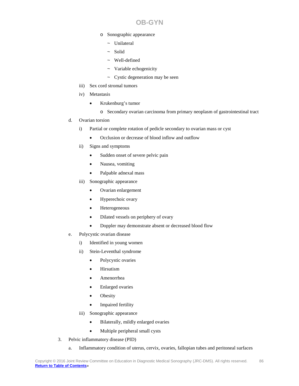- o Sonographic appearance
	- ~ Unilateral
	- ~ Solid
	- ~ Well-defined
	- ~ Variable echogenicity
	- $\sim$  Cystic degeneration may be seen
- iii) Sex cord stromal tumors
- iv) Metastasis
	- Krukenburg's tumor
		- o Secondary ovarian carcinoma from primary neoplasm of gastrointestinal tract
- d. Ovarian torsion
	- i) Partial or complete rotation of pedicle secondary to ovarian mass or cyst
		- Occlusion or decrease of blood inflow and outflow
	- ii) Signs and symptoms
		- Sudden onset of severe pelvic pain
		- Nausea, vomiting
		- Palpable adnexal mass
	- iii) Sonographic appearance
		- Ovarian enlargement
		- Hyperechoic ovary
		- Heterogeneous
		- Dilated vessels on periphery of ovary
		- Doppler may demonstrate absent or decreased blood flow
- e. Polycystic ovarian disease
	- i) Identified in young women
	- ii) Stein-Leventhal syndrome
		- Polycystic ovaries
		- **Hirsutism**
		- Amenorrhea
		- Enlarged ovaries
		- Obesity
		- Impaired fertility
	- iii) Sonographic appearance
		- Bilaterally, mildly enlarged ovaries
		- Multiple peripheral small cysts
- 3. Pelvic inflammatory disease (PID)
	- a. Inflammatory condition of uterus, cervix, ovaries, fallopian tubes and peritoneal surfaces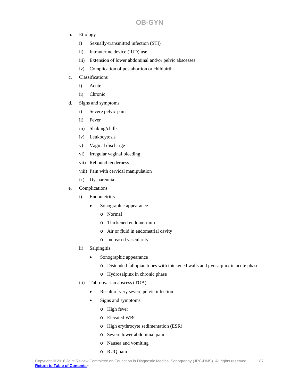- b. Etiology
	- i) Sexually-transmitted infection (STI)
	- ii) Intrauterine device (IUD) use
	- iii) Extension of lower abdominal and/or pelvic abscesses
	- iv) Complication of postabortion or childbirth
- c. Classifications
	- i) Acute
	- ii) Chronic
- d. Signs and symptoms
	- i) Severe pelvic pain
	- ii) Fever
	- iii) Shaking/chills
	- iv) Leukocytosis
	- v) Vaginal discharge
	- vi) Irregular vaginal bleeding
	- vii) Rebound tenderness
	- viii) Pain with cervical manipulation
	- ix) Dyspareunia
- e. Complications
	- i) Endometritis
		- Sonographic appearance
			- o Normal
			- o Thickened endometrium
			- o Air or fluid in endometrial cavity
			- o Increased vascularity
	- ii) Salpingitis
		- Sonographic appearance
			- o Distended fallopian tubes with thickened walls and pyosalpinx in acute phase
			- o Hydrosalpinx in chronic phase
	- iii) Tubo-ovarian abscess (TOA)
		- Result of very severe pelvic infection
		- Signs and symptoms
			- o High fever
			- o Elevated WBC
			- o High erythrocyte sedimentation (ESR)
			- o Severe lower abdominal pain
			- o Nausea and vomiting
			- o RUQ pain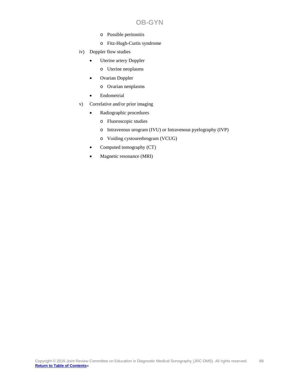- o Possible peritonitis
- o Fitz-Hugh-Curtis syndrome
- iv) Doppler flow studies
	- Uterine artery Doppler
		- o Uterine neoplasms
	- Ovarian Doppler
		- o Ovarian neoplasms
	- Endometrial
- v) Correlative and/or prior imaging
	- Radiographic procedures
		- o Fluoroscopic studies
		- o Intravenous urogram (IVU) or Intravenous pyelography (IVP)
		- o Voiding cystourethrogram (VCUG)
	- Computed tomography (CT)
	- Magnetic resonance (MRI)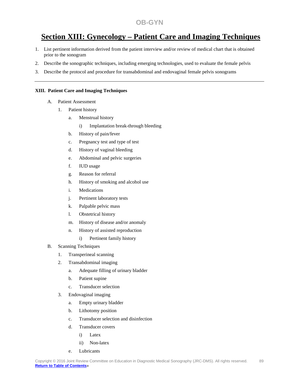## **Section XIII: Gynecology – Patient Care and Imaging Techniques**

- 1. List pertinent information derived from the patient interview and/or review of medical chart that is obtained prior to the sonogram
- 2. Describe the sonographic techniques, including emerging technologies, used to evaluate the female pelvis
- 3. Describe the protocol and procedure for transabdominal and endovaginal female pelvis sonograms

#### **XIII. Patient Care and Imaging Techniques**

- A. Patient Assessment
	- 1. Patient history
		- a. Menstrual history
			- i) Implantation break-through bleeding
		- b. History of pain/fever
		- c. Pregnancy test and type of test
		- d. History of vaginal bleeding
		- e. Abdominal and pelvic surgeries
		- f. IUD usage
		- g. Reason for referral
		- h. History of smoking and alcohol use
		- i. Medications
		- j. Pertinent laboratory tests
		- k. Palpable pelvic mass
		- l. Obstetrical history
		- m. History of disease and/or anomaly
		- n. History of assisted reproduction
			- i) Pertinent family history
- B. Scanning Techniques
	- 1. Transperineal scanning
	- 2. Transabdominal imaging
		- a. Adequate filling of urinary bladder
		- b. Patient supine
		- c. Transducer selection
	- 3. Endovaginal imaging
		- a. Empty urinary bladder
		- b. Lithotomy position
		- c. Transducer selection and disinfection
		- d. Transducer covers
			- i) Latex
			- ii) Non-latex
		- e. Lubricants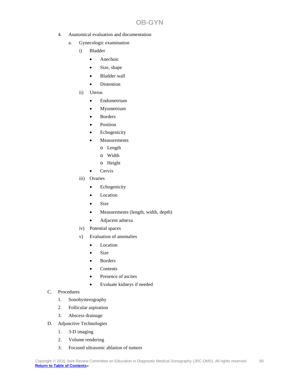- 4. Anatomical evaluation and documentation
	- a. Gynecologic examination
		- i) Bladder
			- Anechoic
			- Size, shape
			- Bladder wall
			- Distention
		- ii) Uterus
			- Endometrium
			- Myometrium
			- **Borders**
			- **Position**
			- **Echogenicity**
			- **Measurements** 
				- o Length
				- o Width
				- o Height
			- Cervix
		- iii) Ovaries
			- Echogenicity
			- Location
			- Size
			- Measurements (length, width, depth)
			- Adjacent adnexa
		- iv) Potential spaces
		- v) Evaluation of anomalies
			- Location
			- Size
			- **Borders**
			- Contents
			- Presence of ascites
			- Evaluate kidneys if needed
- C. Procedures
	- 1. Sonohysterography
	- 2. Follicular aspiration
	- 3. Abscess drainage
- D. Adjunctive Technologies
	- 1. 3-D imaging
	- 2. Volume rendering
	- 3. Focused ultrasonic ablation of tumors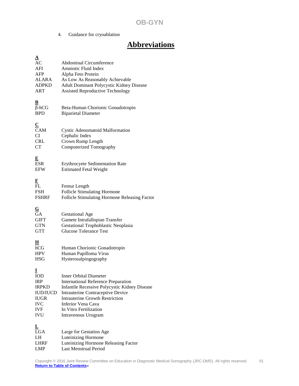4. Guidance for cryoablation

# **Abbreviations**

| $\overline{\mathbf{A}}$<br>AC<br>AFI<br><b>AFP</b><br><b>ALARA</b><br><b>ADPKD</b><br><b>ART</b>            | <b>Abdominal Circumference</b><br>Amniotic Fluid Index<br>Alpha Feto Protein<br>As Low As Reasonably Achievable<br>Adult Dominant Polycystic Kidney Disease<br><b>Assisted Reproductive Technology</b>                                                                             |
|-------------------------------------------------------------------------------------------------------------|------------------------------------------------------------------------------------------------------------------------------------------------------------------------------------------------------------------------------------------------------------------------------------|
| в<br>$\beta$ -hCG<br><b>BPD</b>                                                                             | Beta-Human Chorionic Gonadotropin<br><b>Biparietal Diameter</b>                                                                                                                                                                                                                    |
| $\overline{\mathbf{C}}$<br>CAM<br>CI<br><b>CRL</b><br><b>CT</b>                                             | Cystic Adenomatoid Malformation<br>Cephalic Index<br>Crown Rump Length<br>Computerized Tomography                                                                                                                                                                                  |
| E<br><b>ESR</b><br><b>EFW</b>                                                                               | <b>Erythrocyete Sedimentation Rate</b><br><b>Estimated Fetal Weight</b>                                                                                                                                                                                                            |
| $\frac{\text{F}}{\text{FL}}$<br><b>FSH</b><br><b>FSHRF</b>                                                  | Femur Length<br>Follicle Stimulating Hormone<br>Follicle Stimulating Hormone Releasing Factor                                                                                                                                                                                      |
| $\overline{\mathbf{G}}$<br><b>GA</b><br><b>GIFT</b><br><b>GTN</b><br><b>GTT</b>                             | <b>Gestational Age</b><br>Gamete Intrafallopian Transfer<br><b>Gestational Trophoblastic Neoplasia</b><br><b>Glucose Tolerance Test</b>                                                                                                                                            |
| н<br>hCG<br>HPV<br><b>HSG</b>                                                                               | Human Chorionic Gonadotropin<br>Human Papilloma Virus<br>Hysterosalpingography                                                                                                                                                                                                     |
| 1<br>IOD<br><b>IRP</b><br><b>IRPKD</b><br><b>IUD/IUCD</b><br><b>IUGR</b><br><b>IVC</b><br><b>IVF</b><br>IVU | <b>Inner Orbital Diameter</b><br><b>International Reference Preparation</b><br>Infantile Recessive Polycystic Kidney Disease<br>Intrauterine Contraceptive Device<br><b>Intrauterine Growth Restriction</b><br>Inferior Vena Cava<br>In Vitro Fertilization<br>Intravenous Urogram |
| L<br><b>LGA</b><br>LH<br><b>LHRF</b><br><b>LMP</b>                                                          | Large for Gestation Age<br>Luteinizing Hormone<br>Luteinizing Hormone Releasing Factor<br><b>Last Menstrual Period</b>                                                                                                                                                             |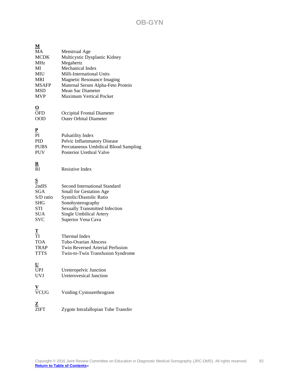| М                                                                                               |                                                                                                                                                                                                                                        |
|-------------------------------------------------------------------------------------------------|----------------------------------------------------------------------------------------------------------------------------------------------------------------------------------------------------------------------------------------|
| MA<br><b>MCDK</b><br>MHz<br>MI<br>MIU<br><b>MRI</b><br><b>MSAFP</b><br><b>MSD</b><br><b>MVP</b> | Menstrual Age<br>Multicystic Dysplastic Kidney<br>Megahertz<br>Mechanical Index<br>Milli-International Units<br>Magnetic Resonance Imaging<br>Maternal Serum Alpha-Feto Protein<br>Mean Sac Diameter<br><b>Maximum Vertical Pocket</b> |
| <u>o</u><br><b>OFD</b><br><b>OOD</b>                                                            | Occipital Frontal Diameter<br><b>Outer Orbital Diameter</b>                                                                                                                                                                            |
| ${\bf P}$<br>PI<br>PID<br><b>PUBS</b><br><b>PUV</b>                                             | Pulsatility Index<br>Pelvic Inflammatory Disease<br>Percutaneous Umbilical Blood Sampling<br>Posterior Urethral Valve                                                                                                                  |
| $\overline{\mathbf{R}}$<br>RI                                                                   | Resistive Index                                                                                                                                                                                                                        |
| S<br>2ndIS<br>SGA<br>S/D ratio<br>SHG<br>STI<br><b>SUA</b><br><b>SVC</b>                        | <b>Second International Standard</b><br>Small for Gestation Age<br>Systolic/Diastolic Ratio<br>Sonohysterography<br><b>Sexually Transmitted Infection</b><br>Single Umbilical Artery<br>Superior Vena Cava                             |
| т<br>TI<br><b>TOA</b><br><b>TRAP</b><br><b>TTTS</b>                                             | Thermal Index<br>Tubo-Ovarian Abscess<br>Twin Reversed Arterial Perfusion<br>Twin-to-Twin Transfusion Syndrome                                                                                                                         |
| $\underline{\mathtt{U}}$<br><b>UPJ</b><br><b>UVJ</b>                                            | Ureteropelvic Junction<br><b>Ureterovesical Junction</b>                                                                                                                                                                               |
| $\frac{V}{VCUG}$                                                                                | Voiding Cystourethrogram                                                                                                                                                                                                               |
| $\frac{\mathbf{Z}}{\mathbf{ZIFT}}$                                                              | Zygote Intrafallopian Tube Transfer                                                                                                                                                                                                    |